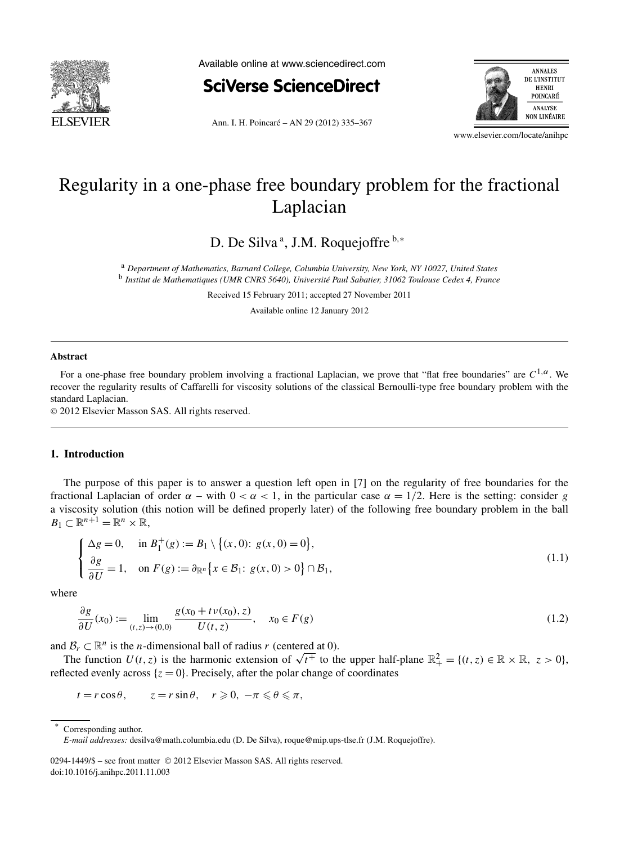

Available online at www.sciencedirect.com



Ann. I. H. Poincaré – AN 29 (2012) 335–367



www.elsevier.com/locate/anihpc

# Regularity in a one-phase free boundary problem for the fractional Laplacian

D. De Silva<sup>a</sup>, J.M. Roquejoffre<sup>b,∗</sup>

<sup>a</sup> *Department of Mathematics, Barnard College, Columbia University, New York, NY 10027, United States* <sup>b</sup> *Institut de Mathematiques (UMR CNRS 5640), Université Paul Sabatier, 31062 Toulouse Cedex 4, France*

Received 15 February 2011; accepted 27 November 2011

Available online 12 January 2012

## **Abstract**

For a one-phase free boundary problem involving a fractional Laplacian, we prove that "flat free boundaries" are *C*1*,α*. We recover the regularity results of Caffarelli for viscosity solutions of the classical Bernoulli-type free boundary problem with the standard Laplacian.

© 2012 Elsevier Masson SAS. All rights reserved.

## **1. Introduction**

The purpose of this paper is to answer a question left open in [7] on the regularity of free boundaries for the fractional Laplacian of order  $\alpha$  – with  $0 < \alpha < 1$ , in the particular case  $\alpha = 1/2$ . Here is the setting: consider *g* a viscosity solution (this notion will be defined properly later) of the following free boundary problem in the ball  $B_1 \subset \mathbb{R}^{n+1} = \mathbb{R}^n \times \mathbb{R},$  $\frac{1}{2}$   $\frac{1}{2}$ 

$$
\begin{cases} \Delta g = 0, & \text{in } B_1^+(g) := B_1 \setminus \{(x, 0): g(x, 0) = 0\}, \\ \frac{\partial g}{\partial U} = 1, & \text{on } F(g) := \partial_{\mathbb{R}^n} \{x \in \mathcal{B}_1: g(x, 0) > 0\} \cap \mathcal{B}_1, \end{cases}
$$
(1.1)

where

$$
\frac{\partial g}{\partial U}(x_0) := \lim_{(t,z)\to(0,0)} \frac{g(x_0 + t\nu(x_0), z)}{U(t, z)}, \quad x_0 \in F(g)
$$
\n(1.2)

and  $\mathcal{B}_r \subset \mathbb{R}^n$  is the *n*-dimensional ball of radius *r* (centered at 0).

*The function U(t, z)* is the harmonic extension of  $\sqrt{t^+}$  to the upper half-plane  $\mathbb{R}^2_+ = \{(t, z) \in \mathbb{R} \times \mathbb{R}, z > 0\}$ , reflected evenly across  $\{z = 0\}$ . Precisely, after the polar change of coordinates

 $t = r \cos \theta$ ,  $z = r \sin \theta$ ,  $r \ge 0$ ,  $-\pi \le \theta \le \pi$ ,

0294-1449/\$ – see front matter © 2012 Elsevier Masson SAS. All rights reserved. doi:10.1016/j.anihpc.2011.11.003

Corresponding author.

*E-mail addresses:* desilva@math.columbia.edu (D. De Silva), roque@mip.ups-tlse.fr (J.M. Roquejoffre).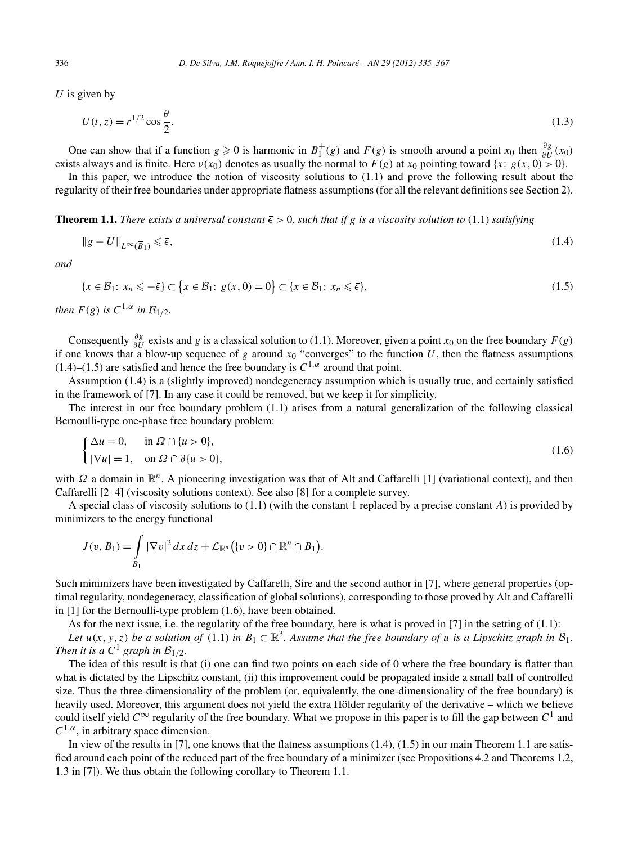*U* is given by

$$
U(t, z) = r^{1/2} \cos \frac{\theta}{2}.
$$
 (1.3)

One can show that if a function  $g \ge 0$  is harmonic in  $B_1^+(g)$  and  $F(g)$  is smooth around a point  $x_0$  then  $\frac{\partial g}{\partial U}(x_0)$ exists always and is finite. Here  $v(x_0)$  denotes as usually the normal to  $F(g)$  at  $x_0$  pointing toward  $\{x: g(x, 0) > 0\}$ .

In this paper, we introduce the notion of viscosity solutions to (1.1) and prove the following result about the regularity of their free boundaries under appropriate flatness assumptions (for all the relevant definitions see Section 2).

**Theorem 1.1.** *There exists a universal constant*  $\bar{\epsilon} > 0$ , *such that if g is a viscosity solution to* (1.1) *satisfying* 

$$
\|g - U\|_{L^{\infty}(\overline{B}_1)} \leq \bar{\epsilon},\tag{1.4}
$$

*and*

$$
||g - U||_{L^{\infty}(\overline{B}_1)} \le \overline{\epsilon},
$$
\n
$$
\{x \in \mathcal{B}_1 : x_n \le -\overline{\epsilon}\} \subset \{x \in \mathcal{B}_1 : g(x, 0) = 0\} \subset \{x \in \mathcal{B}_1 : x_n \le \overline{\epsilon}\},
$$
\n
$$
(1.5)
$$

*then*  $F(g)$  *is*  $C^{1,\alpha}$  *in*  $\mathcal{B}_{1/2}$ *.* 

Consequently  $\frac{\partial g}{\partial U}$  exists and *g* is a classical solution to (1.1). Moreover, given a point *x*<sub>0</sub> on the free boundary *F*(*g*) if one knows that a blow-up sequence of  $g$  around  $x_0$  "converges" to the function  $U$ , then the flatness assumptions  $(1.4)$ – $(1.5)$  are satisfied and hence the free boundary is  $C^{1,\alpha}$  around that point.

Assumption (1.4) is a (slightly improved) nondegeneracy assumption which is usually true, and certainly satisfied in the framework of [7]. In any case it could be removed, but we keep it for simplicity.

The interest in our free boundary problem (1.1) arises from a natural generalization of the following classical Bernoulli-type one-phase free boundary problem:

$$
\begin{cases} \Delta u = 0, & \text{in } \Omega \cap \{u > 0\}, \\ |\nabla u| = 1, & \text{on } \Omega \cap \partial \{u > 0\}, \end{cases}
$$
\n(1.6)

with *Ω* a domain in  $\mathbb{R}^n$ . A pioneering investigation was that of Alt and Caffarelli [1] (variational context), and then Caffarelli [2–4] (viscosity solutions context). See also [8] for a complete survey. 

A special class of viscosity solutions to (1.1) (with the constant 1 replaced by a precise constant *A*) is provided by minimizers to the energy functional

$$
J(v, B_1) = \int\limits_{B_1} |\nabla v|^2 dx dz + \mathcal{L}_{\mathbb{R}^n} (\lbrace v > 0 \rbrace \cap \mathbb{R}^n \cap B_1).
$$

Such minimizers have been investigated by Caffarelli, Sire and the second author in [7], where general properties (optimal regularity, nondegeneracy, classification of global solutions), corresponding to those proved by Alt and Caffarelli in [1] for the Bernoulli-type problem (1.6), have been obtained.

As for the next issue, i.e. the regularity of the free boundary, here is what is proved in  $[7]$  in the setting of  $(1.1)$ : *Let*  $u(x, y, z)$  *be a solution of* (1.1) *in*  $B_1 \subset \mathbb{R}^3$ *. Assume that the free boundary of u is a Lipschitz graph in*  $B_1$ *. Then it is a*  $C^1$  *graph in*  $\mathcal{B}_{1/2}$ *.* 

The idea of this result is that (i) one can find two points on each side of 0 where the free boundary is flatter than what is dictated by the Lipschitz constant, (ii) this improvement could be propagated inside a small ball of controlled size. Thus the three-dimensionality of the problem (or, equivalently, the one-dimensionality of the free boundary) is heavily used. Moreover, this argument does not yield the extra Hölder regularity of the derivative – which we believe could itself yield  $C^{\infty}$  regularity of the free boundary. What we propose in this paper is to fill the gap between  $C^1$  and  $C^{1,\alpha}$ , in arbitrary space dimension.

In view of the results in [7], one knows that the flatness assumptions (1.4), (1.5) in our main Theorem 1.1 are satisfied around each point of the reduced part of the free boundary of a minimizer (see Propositions 4.2 and Theorems 1.2, 1.3 in [7]). We thus obtain the following corollary to Theorem 1.1.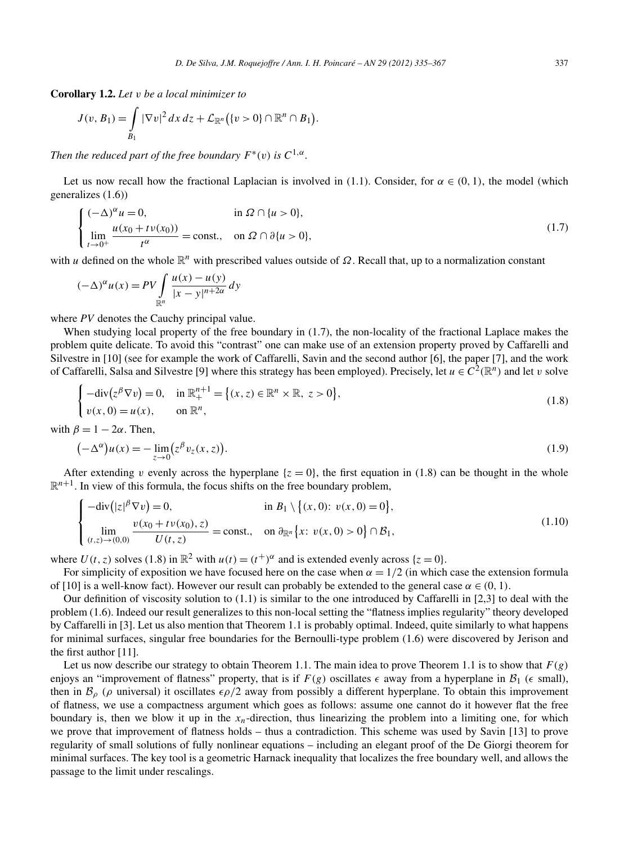**Corollary 1.2.** *Let v be a local minimizer to*

$$
J(v, B_1) = \int\limits_{B_1} |\nabla v|^2 dx dz + \mathcal{L}_{\mathbb{R}^n} (\lbrace v > 0 \rbrace \cap \mathbb{R}^n \cap B_1).
$$

*Then the reduced part of the free boundary*  $F^*(v)$  *is*  $C^{1,\alpha}$ *.* 

Let us now recall how the fractional Laplacian is involved in (1.1). Consider, for  $\alpha \in (0, 1)$ , the model (which generalizes (1.6))

$$
\begin{cases}\n(-\Delta)^{\alpha} u = 0, & \text{in } \Omega \cap \{u > 0\}, \\
\lim_{t \to 0^+} \frac{u(x_0 + tv(x_0))}{t^{\alpha}} = \text{const.}, & \text{on } \Omega \cap \partial \{u > 0\},\n\end{cases}
$$
\n
$$
u \text{ defined on the whole } \mathbb{R}^n \text{ with prescribed values outside of } \Omega. \text{ Recall that, up to a normalization constant}
$$
\n
$$
(-\Delta)^{\alpha} u(x) = PV \int_{-\frac{u(x) - u(y)}{\lambda} dy}^{-\frac{u(x) - u(y)}{\lambda}} dy
$$
\n(1.7)

with *u* defined on the whole  $\mathbb{R}^n$  with prescribed values outside of Ω. Recall that, up to a normalization constant

$$
(-\Delta)^{\alpha} u(x) = PV \int_{\mathbb{R}^n} \frac{u(x) - u(y)}{|x - y|^{n + 2\alpha}} dy
$$

where *PV* denotes the Cauchy principal value.

When studying local property of the free boundary in (1.7), the non-locality of the fractional Laplace makes the problem quite delicate. To avoid this "contrast" one can make use of an extension property proved by Caffarelli and Silvestre in [10] (see for example the work of Caffarelli, Savin and the second author [6], the paper [7], and the work of Caffarelli, Salsa and Silvestre [9] where this strategy has been employed). Precisely, let  $u \in C^2(\mathbb{R}^n)$  and let *v* solve  $\alpha$  quite delicate. To avoid this "convention in [10] (see for example the wordli, Salsa and Silvestre [9] whe  $-\text{div}(z^{\beta} \nabla v) = 0$ , in  $\mathbb{R}^{n+1}_+ = \{$ 

$$
\begin{cases}\n-\text{div}(z^{\beta} \nabla v) = 0, & \text{in } \mathbb{R}^{n+1} = \{(x, z) \in \mathbb{R}^{n} \times \mathbb{R}, z > 0\}, \\
v(x, 0) = u(x), & \text{on } \mathbb{R}^{n}, \\
\delta = 1 - 2\alpha. \text{ Then,} \\
(-\Delta^{\alpha})u(x) = -\lim_{x \to \infty} (z^{\beta} v_{z}(x, z)).\n\end{cases}
$$
\n(1.9)

with  $\beta = 1 - 2\alpha$ . Then,

$$
(-\Delta^{\alpha})u(x) = -\lim_{z \to 0} (z^{\beta}v_z(x, z)).
$$
\n(1.9)

After extending *v* evenly across the hyperplane  $\{z = 0\}$ , the first equation in (1.8) can be thought in the whole  $\mathbb{R}^{n+1}$ . In view of this formula, the focus shifts on the free boundary problem, − / "<br>exten<br>o view<br>div( ee boundary pro

$$
\begin{cases}\n-\text{div}\big(|z|^{\beta}\nabla v\big) = 0, & \text{in } B_1 \setminus \big\{(x,0): v(x,0) = 0\big\}, \\
\lim_{(t,z) \to (0,0)} \frac{v(x_0 + tv(x_0), z)}{U(t,z)} = \text{const.}, & \text{on } \partial_{\mathbb{R}^n} \big\{x: v(x,0) > 0\big\} \cap \mathcal{B}_1,\n\end{cases}
$$
\n(1.10)

where  $U(t, z)$  solves (1.8) in  $\mathbb{R}^2$  with  $u(t) = (t^+)^{\alpha}$  and is extended evenly across { $z = 0$ }.

For simplicity of exposition we have focused here on the case when  $\alpha = 1/2$  (in which case the extension formula of [10] is a well-know fact). However our result can probably be extended to the general case  $\alpha \in (0, 1)$ .

Our definition of viscosity solution to  $(1.1)$  is similar to the one introduced by Caffarelli in [2,3] to deal with the problem (1.6). Indeed our result generalizes to this non-local setting the "flatness implies regularity" theory developed by Caffarelli in [3]. Let us also mention that Theorem 1.1 is probably optimal. Indeed, quite similarly to what happens for minimal surfaces, singular free boundaries for the Bernoulli-type problem (1.6) were discovered by Jerison and the first author [11].

Let us now describe our strategy to obtain Theorem 1.1. The main idea to prove Theorem 1.1 is to show that  $F(g)$ enjoys an "improvement of flatness" property, that is if  $F(g)$  oscillates  $\epsilon$  away from a hyperplane in  $\mathcal{B}_1$  ( $\epsilon$  small), then in  $B_\rho$  ( $\rho$  universal) it oscillates  $\epsilon \rho/2$  away from possibly a different hyperplane. To obtain this improvement of flatness, we use a compactness argument which goes as follows: assume one cannot do it however flat the free boundary is, then we blow it up in the  $x_n$ -direction, thus linearizing the problem into a limiting one, for which we prove that improvement of flatness holds – thus a contradiction. This scheme was used by Savin [13] to prove regularity of small solutions of fully nonlinear equations – including an elegant proof of the De Giorgi theorem for minimal surfaces. The key tool is a geometric Harnack inequality that localizes the free boundary well, and allows the passage to the limit under rescalings.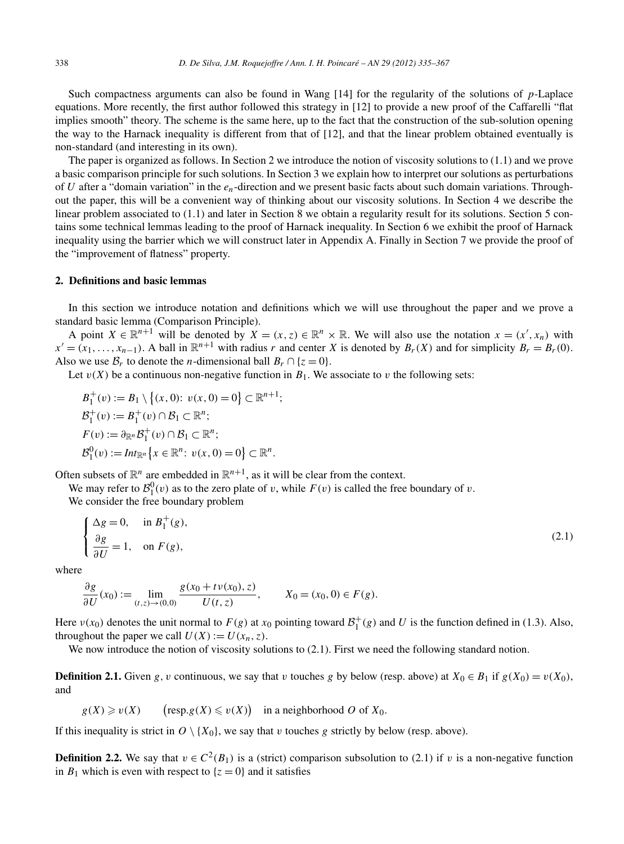Such compactness arguments can also be found in Wang [14] for the regularity of the solutions of *p*-Laplace equations. More recently, the first author followed this strategy in [12] to provide a new proof of the Caffarelli "flat implies smooth" theory. The scheme is the same here, up to the fact that the construction of the sub-solution opening the way to the Harnack inequality is different from that of [12], and that the linear problem obtained eventually is non-standard (and interesting in its own).

The paper is organized as follows. In Section 2 we introduce the notion of viscosity solutions to (1.1) and we prove a basic comparison principle for such solutions. In Section 3 we explain how to interpret our solutions as perturbations of *U* after a "domain variation" in the *en*-direction and we present basic facts about such domain variations. Throughout the paper, this will be a convenient way of thinking about our viscosity solutions. In Section 4 we describe the linear problem associated to (1.1) and later in Section 8 we obtain a regularity result for its solutions. Section 5 contains some technical lemmas leading to the proof of Harnack inequality. In Section 6 we exhibit the proof of Harnack inequality using the barrier which we will construct later in Appendix A. Finally in Section 7 we provide the proof of the "improvement of flatness" property.

## **2. Definitions and basic lemmas**

In this section we introduce notation and definitions which we will use throughout the paper and we prove a standard basic lemma (Comparison Principle).

A point  $X \in \mathbb{R}^{n+1}$  will be denoted by  $X = (x, z) \in \mathbb{R}^n \times \mathbb{R}$ . We will also use the notation  $x = (x', x_n)$  with  $x' = (x_1, \ldots, x_{n-1})$ . A ball in  $\mathbb{R}^{n+1}$  with radius *r* and center *X* is denoted by  $B_r(X)$  and for simplicity  $B_r = B_r(0)$ . Also we use  $\mathcal{B}_r$  to denote the *n*-dimensional ball  $B_r \cap \{z = 0\}.$ 

Let  $v(X)$  be a continuous non-negative function in  $B_1$ . We associate to *v* the following sets:

$$
B_1^+(v) := B_1 \setminus \{(x, 0): v(x, 0) = 0\} \subset \mathbb{R}^{n+1};
$$
  
\n
$$
B_1^+(v) := B_1^+(v) \cap B_1 \subset \mathbb{R}^n;
$$
  
\n
$$
F(v) := \partial_{\mathbb{R}^n} B_1^+(v) \cap B_1 \subset \mathbb{R}^n;
$$
  
\n
$$
B_1^0(v) := Int_{\mathbb{R}^n} \{x \in \mathbb{R}^n : v(x, 0) = 0\} \subset \mathbb{R}^n.
$$

Often subsets of  $\mathbb{R}^n$  are embedded in  $\mathbb{R}^{n+1}$ , as it will be clear from the context.

We may refer to  $\mathcal{B}_1^0(v)$  as to the zero plate of *v*, while  $F(v)$  is called the free boundary of *v*.

We consider the free boundary problem

$$
\begin{cases}\n\Delta g = 0, & \text{in } B_1^+(g), \\
\frac{\partial g}{\partial U} = 1, & \text{on } F(g),\n\end{cases}
$$
\n(2.1)

where

$$
\frac{\partial g}{\partial U}(x_0) := \lim_{(t,z)\to(0,0)} \frac{g(x_0 + t\nu(x_0), z)}{U(t,z)}, \qquad X_0 = (x_0, 0) \in F(g).
$$

Here  $v(x_0)$  denotes the unit normal to  $F(g)$  at  $x_0$  pointing toward  $\mathcal{B}_1^+(g)$  and U is the function defined in (1.3). Also, throughout the paper we call  $U(X) := U(x_n, z)$ .

We now introduce the notion of viscosity solutions to  $(2.1)$ . First we need the following standard notion.

**Definition 2.1.** Given *g*, *v* continuous, we say that *v* touches *g* by below (resp. above) at  $X_0 \in B_1$  if  $g(X_0) = v(X_0)$ , and **2.1.** Given *g*, *v* continuous, we sa<br>  $\geq v(X)$   $(\text{resp.} g(X) \leq v(X))$ 

 $g(X) \geq v(X)$ in a neighborhood  $O$  of  $X_0$ .

If this inequality is strict in  $O \setminus \{X_0\}$ , we say that *v* touches *g* strictly by below (resp. above).

**Definition 2.2.** We say that  $v \in C^2(B_1)$  is a (strict) comparison subsolution to (2.1) if *v* is a non-negative function in  $B_1$  which is even with respect to  $\{z = 0\}$  and it satisfies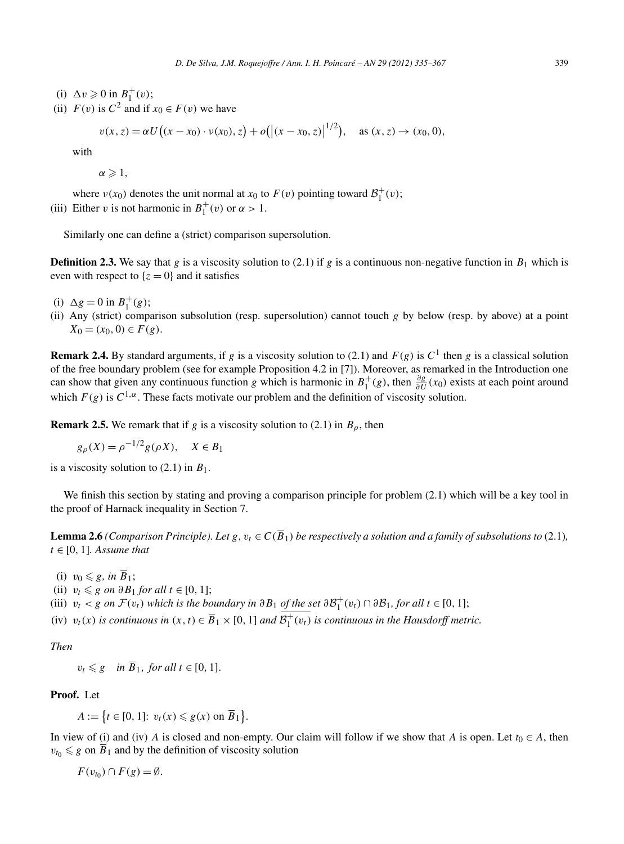- (i)  $\Delta v \geqslant 0$  in  $B_1^+(v)$ ;
- (ii)  $F(v)$  is  $C^2$  and if  $x_0 \in F(v)$  we have

$$
\ge 0 \text{ in } B_1^+(v);
$$
  
is  $C^2$  and if  $x_0 \in F(v)$  we have  

$$
v(x, z) = \alpha U((x - x_0) \cdot v(x_0), z) + o(|(x - x_0, z)|^{1/2}), \text{ as } (x, z) \to (x_0, 0),
$$

with

 $\alpha \geqslant 1,$ 

where  $v(x_0)$  denotes the unit normal at  $x_0$  to  $F(v)$  pointing toward  $\mathcal{B}_1^+(v)$ ; (iii) Either *v* is not harmonic in  $B_1^+(v)$  or  $\alpha > 1$ .

Similarly one can define a (strict) comparison supersolution.

**Definition 2.3.** We say that *g* is a viscosity solution to (2.1) if *g* is a continuous non-negative function in  $B_1$  which is even with respect to  $\{z = 0\}$  and it satisfies

- (i)  $\Delta g = 0$  in  $B_1^+(g)$ ;
- (ii) Any (strict) comparison subsolution (resp. supersolution) cannot touch *g* by below (resp. by above) at a point  $X_0 = (x_0, 0) \in F(g)$ .

**Remark 2.4.** By standard arguments, if *g* is a viscosity solution to (2.1) and  $F(g)$  is  $C<sup>1</sup>$  then *g* is a classical solution of the free boundary problem (see for example Proposition 4.2 in [7]). Moreover, as remarked in the Introduction one can show that given any continuous function *g* which is harmonic in  $B_1^+(g)$ , then  $\frac{\partial g}{\partial U}(x_0)$  exists at each point around which  $F(g)$  is  $C^{1,\alpha}$ . These facts motivate our problem and the definition of viscosity solution.

**Remark 2.5.** We remark that if *g* is a viscosity solution to (2.1) in  $B_\rho$ , then

$$
g_{\rho}(X) = \rho^{-1/2} g(\rho X), \quad X \in B_1
$$

is a viscosity solution to  $(2.1)$  in  $B_1$ .

We finish this section by stating and proving a comparison principle for problem  $(2.1)$  which will be a key tool in the proof of Harnack inequality in Section 7.

**Lemma 2.6** *(Comparison Principle). Let*  $g, v_t \in C(\overline{B}_1)$  *be respectively a solution and a family of subsolutions to* (2.1)*,*  $t \in [0, 1]$ *. Assume that* 

- (i)  $v_0 \leq g$ *, in*  $\overline{B}_1$ ;
- (ii)  $v_t \leq g$  *on*  $\partial B_1$  *for all*  $t \in [0, 1]$ ;
- (iii)  $v_t < g$  *on*  $\mathcal{F}(v_t)$  *which is the boundary in*  $\partial B_1$  *of the set*  $\partial \mathcal{B}_1^+(v_t) \cap \partial \mathcal{B}_1$ *, for all*  $t \in [0, 1]$ ;
- (iv)  $v_t(x)$  *is continuous in*  $(x, t) \in \overline{B}_1 \times [0, 1]$  *and*  $\overline{B_1^+(v_t)}$  *is continuous in the Hausdorff metric.*

*Then*

**Proof.** Let

$$
v_t \leq g \quad \text{in } \overline{B}_1, \text{ for all } t \in [0, 1].
$$
  
. Let  

$$
A := \{ t \in [0, 1] : v_t(x) \leq g(x) \text{ on } \overline{B}_1 \}.
$$

In view of (i) and (iv) *A* is closed and non-empty. Our claim will follow if we show that *A* is open. Let  $t_0 \in A$ , then  $v_{t_0} \leq g$  on  $\overline{B}_1$  and by the definition of viscosity solution

 $F(v_{t_0}) \cap F(g) = \emptyset$ .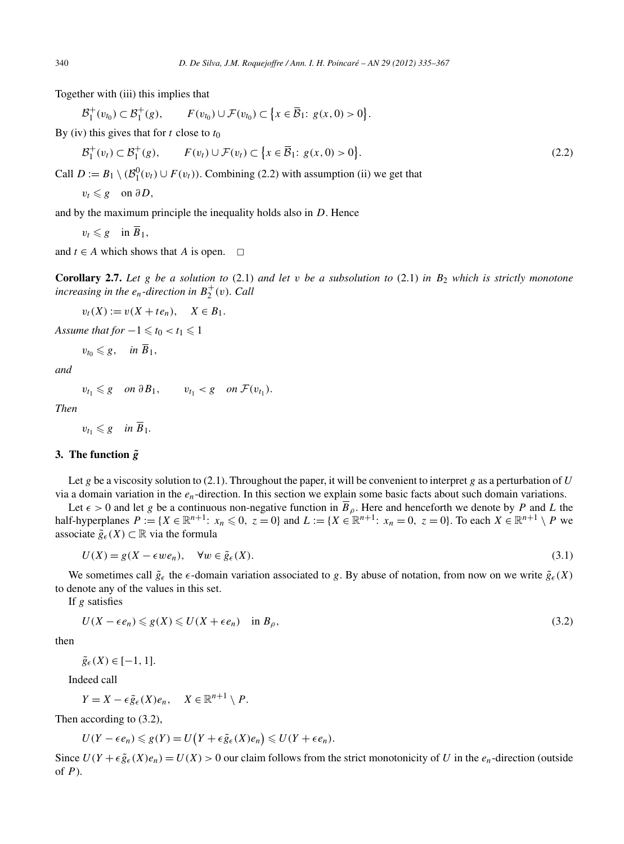Together with (iii) this implies that

\n
$$
D. \text{ } De \text{ } Silva, J.M. \text{ } Roquejoffer / Ann. I. H. \text{ } Poincaré - P
$$
\n

\n\n The with (iii) this implies that\n  $B_1^+(v_{t_0}) \subset B_1^+(g), \quad F(v_{t_0}) \cup F(v_{t_0}) \subset \{x \in \overline{B}_1 : g(x, 0) > 0\}.$ \n

By (iv) this gives that for *t* close to *t*<sup>0</sup>

$$
\mathcal{B}_1^+(v_{t_0}) \subset \mathcal{B}_1^+(g), \qquad F(v_{t_0}) \cup \mathcal{F}(v_{t_0}) \subset \left\{ x \in \overline{\mathcal{B}}_1 : g(x, 0) > 0 \right\}.
$$
  
\n(v) this gives that for *t* close to  $t_0$   
\n
$$
\mathcal{B}_1^+(v_t) \subset \mathcal{B}_1^+(g), \qquad F(v_t) \cup \mathcal{F}(v_t) \subset \left\{ x \in \overline{\mathcal{B}}_1 : g(x, 0) > 0 \right\}.
$$
\n(2.2)

Call  $D := B_1 \setminus (\mathcal{B}_1^0(v_t) \cup F(v_t))$ . Combining (2.2) with assumption (ii) we get that

$$
v_t \leqslant g \quad \text{on } \partial D,
$$

and by the maximum principle the inequality holds also in *D*. Hence

 $v_t \leq g$  in  $\overline{B}_1$ ,

and  $t \in A$  which shows that *A* is open.  $\Box$ 

**Corollary 2.7.** *Let g be a solution to* (2.1) *and let v be a subsolution to* (2.1) *in B*<sup>2</sup> *which is strictly monotone increasing in the*  $e_n$ *-direction in*  $B_2^+(v)$ *. Call* 

 $v_t(X) := v(X + te_n), \quad X \in B_1.$ 

*Assume that for*  $-1 \le t_0 < t_1 \le 1$ 

$$
v_{t_0}\leqslant g, \quad \text{in } B_1,
$$

*and*

 $v_{t_1} \leq g$  *on*  $\partial B_1$ ,  $v_{t_1} < g$  *on*  $\mathcal{F}(v_{t_1})$ .

*Then*

 $v_{t_1} \leqslant g$  *in*  $\overline{B}_1$ *.* 

# **3.** The function  $\tilde{g}$

Let *g* be a viscosity solution to (2.1). Throughout the paper, it will be convenient to interpret *g* as a perturbation of *U* via a domain variation in the *en*-direction. In this section we explain some basic facts about such domain variations.

Let  $\epsilon > 0$  and let *g* be a continuous non-negative function in  $\overline{B}_{\rho}$ . Here and henceforth we denote by *P* and *L* the half-hyperplanes  $P := \{X \in \mathbb{R}^{n+1}: x_n \leq 0, z = 0\}$  and  $L := \{X \in \mathbb{R}^{n+1}: x_n = 0, z = 0\}$ . To each  $X \in \mathbb{R}^{n+1} \setminus P$  we associate  $\tilde{g}_\epsilon(X)$  ⊂ ℝ via the formula

$$
U(X) = g(X - \epsilon w e_n), \quad \forall w \in \tilde{g}_{\epsilon}(X). \tag{3.1}
$$

We sometimes call  $\tilde{g}_{\epsilon}$  the  $\epsilon$ -domain variation associated to *g*. By abuse of notation, from now on we write  $\tilde{g}_{\epsilon}(X)$ to denote any of the values in this set.

If *g* satisfies

$$
U(X - \epsilon e_n) \leq g(X) \leq U(X + \epsilon e_n) \quad \text{in } B_\rho,
$$
\n
$$
(3.2)
$$

then

$$
\tilde{g}_{\epsilon}(X) \in [-1, 1].
$$

Indeed call

$$
Y = X - \epsilon \tilde{g}_{\epsilon}(X)e_n, \quad X \in \mathbb{R}^{n+1} \setminus P.
$$

Then according to (3.2),

$$
Y = X - \epsilon \tilde{g}_{\epsilon}(X)e_n, \quad X \in \mathbb{R}^{n+1} \setminus P.
$$
  
according to (3.2),  

$$
U(Y - \epsilon e_n) \leq g(Y) = U(Y + \epsilon \tilde{g}_{\epsilon}(X)e_n) \leq U(Y + \epsilon e_n).
$$

Since  $U(Y + \epsilon \tilde{g}_{\epsilon}(X)e_n) = U(X) > 0$  our claim follows from the strict monotonicity of *U* in the  $e_n$ -direction (outside of *P* ).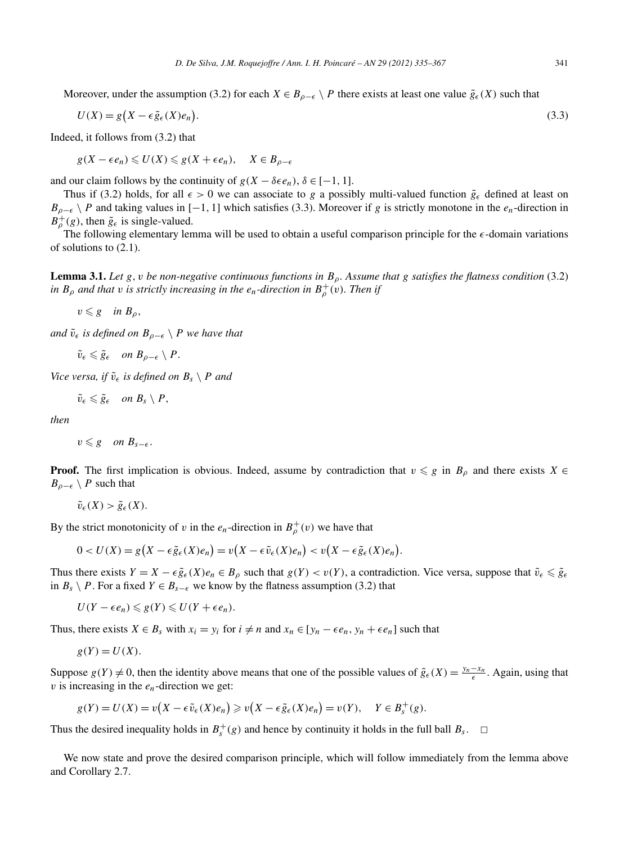Moreover, under the assumption (3.2) for each  $X \in B_{\rho-\epsilon} \setminus P$  there exists at least one value  $\tilde{g}_{\epsilon}(X)$  such that

$$
U(X) = g\big(X - \epsilon \tilde{g}_{\epsilon}(X)e_n\big). \tag{3.3}
$$

Indeed, it follows from (3.2) that

$$
g(X - \epsilon e_n) \leq U(X) \leq g(X + \epsilon e_n), \quad X \in B_{\rho - \epsilon}
$$

and our claim follows by the continuity of  $g(X - \delta \epsilon e_n)$ ,  $\delta \in [-1, 1]$ .

Thus if (3.2) holds, for all  $\epsilon > 0$  we can associate to *g* a possibly multi-valued function  $\tilde{g}_{\epsilon}$  defined at least on  $B_{\rho-\epsilon} \setminus P$  and taking values in [−1, 1] which satisfies (3.3). Moreover if *g* is strictly monotone in the *e<sub>n</sub>*-direction in  $B_{\rho}^{+}(g)$ , then  $\tilde{g}_{\epsilon}$  is single-valued.

The following elementary lemma will be used to obtain a useful comparison principle for the  $\epsilon$ -domain variations of solutions to (2.1).

**Lemma 3.1.** *Let*  $g, v$  *be non-negative continuous functions in*  $B_\rho$ *. Assume that*  $g$  *satisfies the flatness condition* (3.2) *in*  $B_\rho$  *and that v is strictly increasing in the*  $e_n$ *-direction in*  $B_\rho^+(v)$ *. Then if* 

 $v \leq g$  *in*  $B_{\rho}$ ,

*and*  $\tilde{v}_{\epsilon}$  *is defined on*  $B_{\rho-\epsilon} \setminus P$  *we have that* 

$$
\tilde{v}_{\epsilon} \leqslant \tilde{g}_{\epsilon} \quad on \ B_{\rho-\epsilon} \setminus P.
$$

*Vice versa, if*  $\tilde{v}_\epsilon$  *is defined on*  $B_s \setminus P$  *and* 

$$
\tilde{v}_{\epsilon} \leqslant \tilde{g}_{\epsilon} \quad on \ B_{s} \setminus P,
$$

*then*

 $v \leq g$  *on*  $B_{s-\epsilon}$ *.* 

**Proof.** The first implication is obvious. Indeed, assume by contradiction that  $v \leq g$  in  $B_\rho$  and there exists  $X \in$  $B_{\rho-\epsilon} \setminus P$  such that

 $\tilde{v}_{\epsilon}(X) > \tilde{g}_{\epsilon}(X).$ 

By the strict monotonicity of *v* in the  $e_n$ -direction in  $B^+_{\rho}(v)$  we have that

$$
\tilde{v}_{\epsilon}(X) > \tilde{g}_{\epsilon}(X).
$$
\ne strict monotonicity of  $v$  in the  $e_n$ -direction in  $B_{\rho}^+(v)$  we have that

\n
$$
0 < U(X) = g\left(X - \epsilon \tilde{g}_{\epsilon}(X)e_n\right) = v\left(X - \epsilon \tilde{v}_{\epsilon}(X)e_n\right) < v\left(X - \epsilon \tilde{g}_{\epsilon}(X)e_n\right).
$$

Thus there exists  $Y = X - \epsilon \tilde{g}_{\epsilon}(X)e_n \in B_{\rho}$  such that  $g(Y) < v(Y)$ , a contradiction. Vice versa, suppose that  $\tilde{v}_{\epsilon} \leq \tilde{g}_{\epsilon}$ in *B<sub>s</sub>* ∖ *P*. For a fixed *Y* ∈ *B<sub>s−∈</sub>* we know by the flatness assumption (3.2) that

 $U(Y - \epsilon e_n) \leq g(Y) \leq U(Y + \epsilon e_n).$ 

Thus, there exists  $X \in B_s$  with  $x_i = y_i$  for  $i \neq n$  and  $x_n \in [y_n - \epsilon e_n, y_n + \epsilon e_n]$  such that

$$
g(Y) = U(X).
$$

Suppose  $g(Y) \neq 0$ , then the identity above means that one of the possible values of  $\tilde{g}_{\epsilon}(X) = \frac{y_n - x_n}{\epsilon}$ . Again, using that *v* is increasing in the *en*-direction we get:

$$
g(Y) = U(X) = v(X - \epsilon \tilde{v}_{\epsilon}(X)e_n) \geq v(X - \epsilon \tilde{g}_{\epsilon}(X)e_n) = v(Y), \quad Y \in B_s^+(g).
$$

Thus the desired inequality holds in  $B_s^+(g)$  and hence by continuity it holds in the full ball  $B_s$ .  $\Box$ 

We now state and prove the desired comparison principle, which will follow immediately from the lemma above and Corollary 2.7.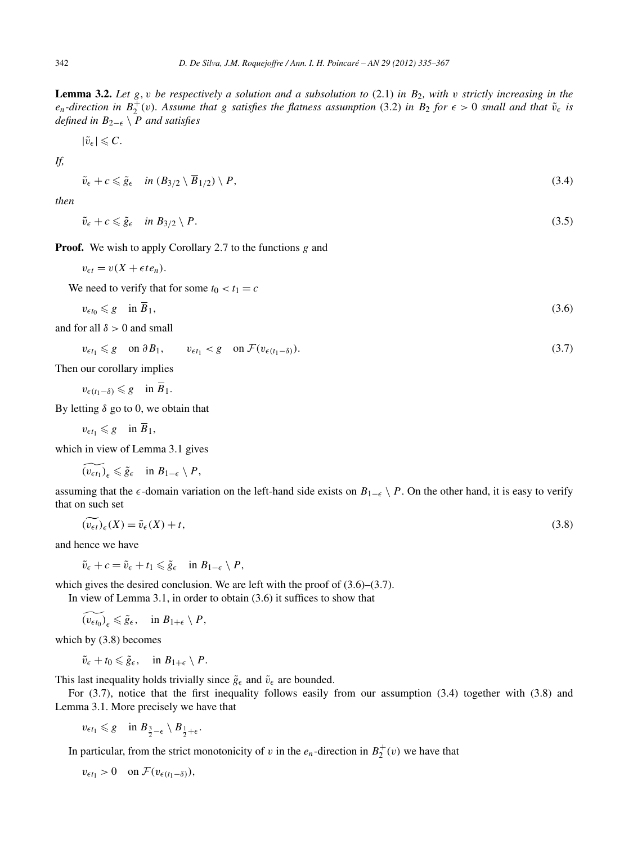**Lemma 3.2.** *Let g,v be respectively a solution and a subsolution to* (2.1) *in B*2*, with v strictly increasing in the e<sub>n</sub>*-direction in  $B_2^+(v)$ . Assume that g satisfies the flatness assumption (3.2) in  $B_2$  for  $\epsilon > 0$  small and that  $\tilde{v}_\epsilon$  is *defined in*  $B_{2−ε}$   $\setminus$  *P and satisfies* 

$$
|\tilde{v}_{\epsilon}|\leqslant C.
$$

*If,*

$$
\tilde{v}_{\epsilon} + c \leq \tilde{g}_{\epsilon} \quad \text{in } (B_{3/2} \setminus \overline{B}_{1/2}) \setminus P,\tag{3.4}
$$

*then*

$$
\tilde{v}_{\epsilon} + c \leq \tilde{g}_{\epsilon} \quad \text{in } B_{3/2} \setminus P. \tag{3.5}
$$

**Proof.** We wish to apply Corollary 2.7 to the functions *g* and

 $v_{\epsilon t} = v(X + \epsilon t e_n).$ 

We need to verify that for some  $t_0 < t_1 = c$ 

$$
v_{\epsilon t_0} \leq g \quad \text{in } B_1,\tag{3.6}
$$

and for all  $\delta > 0$  and small

$$
v_{\epsilon t_1} \leq g \quad \text{on } \partial B_1, \qquad v_{\epsilon t_1} < g \quad \text{on } \mathcal{F}(v_{\epsilon(t_1-\delta)}).
$$
\n
$$
(3.7)
$$

Then our corollary implies

 $v_{\epsilon(t_1-\delta)}$   $\leq$  *g* in  $\overline{B}_1$ .

By letting  $δ$  go to 0, we obtain that

 $v_{\epsilon t_1} \leqslant g \quad \text{in } \overline{B}_1,$ 

which in view of Lemma 3.1 gives

$$
(v_{\epsilon t_1})_{\epsilon} \leqslant \tilde{g}_{\epsilon} \quad \text{in } B_{1-\epsilon} \setminus P,
$$

assuming that the  $\epsilon$ -domain variation on the left-hand side exists on  $B_{1-\epsilon} \setminus P$ . On the other hand, it is easy to verify that on such set ing that the  $\epsilon$ -domain variation on the left-hand side exists on  $B_{1-\epsilon} \setminus P$ . On the other hand, it is easy to verify n such set  $(\widetilde{v_{\epsilon t}})_{\epsilon}(X) = \widetilde{v}_{\epsilon}(X) + t$ , (3.8)

$$
(\nu_{\epsilon t})_{\epsilon}(X) = \tilde{\nu}_{\epsilon}(X) + t,\tag{3.8}
$$

and hence we have

$$
\tilde{v}_{\epsilon} + c = \tilde{v}_{\epsilon} + t_1 \leqslant \tilde{g}_{\epsilon} \quad \text{in } B_{1-\epsilon} \setminus P,
$$

which gives the desired conclusion. We are left with the proof of  $(3.6)$ – $(3.7)$ .

In view of Lemma 3.1, in order to obtain (3.6) it suffices to show that

 $\widetilde{(v_{\epsilon t_0})}_\epsilon \leq \tilde{g}_\epsilon, \quad \text{in } B_{1+\epsilon} \setminus P,$ 

which by (3.8) becomes

 $\tilde{v}_{\epsilon} + t_0 \leq \tilde{g}_{\epsilon}, \quad \text{in } B_{1+\epsilon} \setminus P.$ 

This last inequality holds trivially since  $\tilde{g}_{\epsilon}$  and  $\tilde{v}_{\epsilon}$  are bounded.

For (3.7), notice that the first inequality follows easily from our assumption (3.4) together with (3.8) and Lemma 3.1. More precisely we have that

 $v_{\epsilon t_1} \leqslant g \quad \text{in } B_{\frac{3}{2}-\epsilon} \setminus B_{\frac{1}{2}+\epsilon}.$ 

In particular, from the strict monotonicity of *v* in the  $e_n$ -direction in  $B_2^+(v)$  we have that

 $v_{\epsilon t_1} > 0$  on  $\mathcal{F}(v_{\epsilon(t_1-\delta)}),$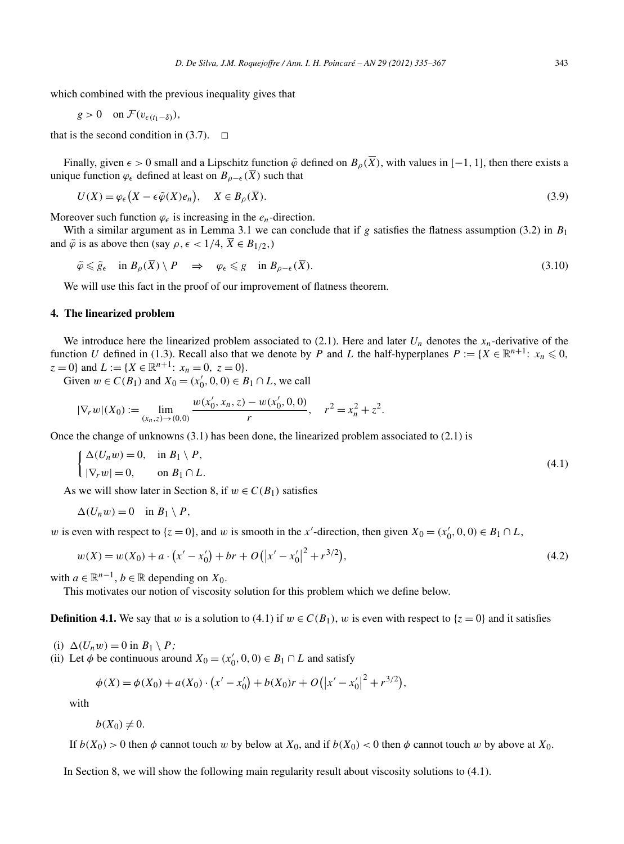which combined with the previous inequality gives that

$$
g > 0 \quad \text{on } \mathcal{F}(v_{\epsilon(t_1-\delta)}),
$$

that is the second condition in  $(3.7)$ .  $\Box$ 

Finally, given  $\epsilon > 0$  small and a Lipschitz function  $\tilde{\varphi}$  defined on  $B_{\rho}(\overline{X})$ , with values in [−1, 1], then there exists a unique function  $\varphi_{\epsilon}$  defined at least on  $B_{\rho-\epsilon}(\overline{X})$  such that

$$
U(X) = \varphi_{\epsilon}\big(X - \epsilon \tilde{\varphi}(X)e_n\big), \quad X \in B_{\rho}(\overline{X}).
$$
\n(3.9)

Moreover such function  $\varphi_{\epsilon}$  is increasing in the  $e_n$ -direction.

With a similar argument as in Lemma 3.1 we can conclude that if  $g$  satisfies the flatness assumption (3.2) in  $B_1$ and  $\tilde{\varphi}$  is as above then (say  $\rho, \epsilon < 1/4, \overline{X} \in B_{1/2}$ ,)

$$
\tilde{\varphi} \leq \tilde{g}_{\epsilon} \quad \text{in } B_{\rho}(\overline{X}) \setminus P \quad \Rightarrow \quad \varphi_{\epsilon} \leq g \quad \text{in } B_{\rho-\epsilon}(\overline{X}). \tag{3.10}
$$

We will use this fact in the proof of our improvement of flatness theorem.

## **4. The linearized problem**

We introduce here the linearized problem associated to  $(2.1)$ . Here and later  $U_n$  denotes the  $x_n$ -derivative of the function *U* defined in (1.3). Recall also that we denote by *P* and *L* the half-hyperplanes  $P := \{X \in \mathbb{R}^{n+1}: x_n \leq 0,$  $z = 0$ } and  $L := \{X \in \mathbb{R}^{n+1}: x_n = 0, z = 0\}.$ 

Given  $w \in C(B_1)$  and  $X_0 = (x'_0, 0, 0) \in B_1 \cap L$ , we call

$$
|\nabla_r w|(X_0) := \lim_{(x_n, z) \to (0, 0)} \frac{w(x'_0, x_n, z) - w(x'_0, 0, 0)}{r}, \quad r^2 = x_n^2 + z^2.
$$

Once the change of unknowns (3.1) has been done, the linearized problem associated to (2.1) is

$$
\begin{cases} \Delta(U_n w) = 0, & \text{in } B_1 \setminus P, \\ |\nabla_r w| = 0, & \text{on } B_1 \cap L. \end{cases}
$$
\n
$$
(4.1)
$$

As we will show later in Section 8, if  $w \in C(B_1)$  satisfies

$$
\Delta(U_n w) = 0 \quad \text{in } B_1 \setminus P,
$$

*w* is even with respect to  $\{z = 0\}$ , and *w* is smooth in the *x*'-direction, then given  $X_0 = (x'_0, 0, 0) \in B_1 \cap L$ ,

$$
\Delta(U_n w) = 0 \quad \text{in } B_1 \setminus P,
$$
  
ven with respect to  $\{z = 0\}$ , and w is smooth in the x'-direction, then given  $X_0 = (x'_0, 0, 0) \in B_1 \cap L$ ,  

$$
w(X) = w(X_0) + a \cdot (x' - x'_0) + br + O(|x' - x'_0|^2 + r^{3/2}),
$$
 (4.2)

with  $a \in \mathbb{R}^{n-1}$ ,  $b \in \mathbb{R}$  depending on  $X_0$ .

This motivates our notion of viscosity solution for this problem which we define below.

**Definition 4.1.** We say that *w* is a solution to (4.1) if  $w \in C(B_1)$ , *w* is even with respect to  $\{z = 0\}$  and it satisfies

(i)  $\Delta(U_nw) = 0$  in  $B_1 \setminus P$ ;

(ii) Let  $\phi$  be continuous around  $X_0 = (x'_0, 0, 0) \in B_1 \cap L$  and satisfy

$$
w = 0 \text{ in } B_1 \setminus P;
$$
  
be continuous around  $X_0 = (x'_0, 0, 0) \in B_1 \cap L$  and satisfy  

$$
\phi(X) = \phi(X_0) + a(X_0) \cdot (x' - x'_0) + b(X_0)r + O(|x' - x'_0|^2 + r^{3/2}),
$$

with

$$
b(X_0)\neq 0.
$$

If  $b(X_0) > 0$  then  $\phi$  cannot touch *w* by below at  $X_0$ , and if  $b(X_0) < 0$  then  $\phi$  cannot touch *w* by above at  $X_0$ .

In Section 8, we will show the following main regularity result about viscosity solutions to (4.1).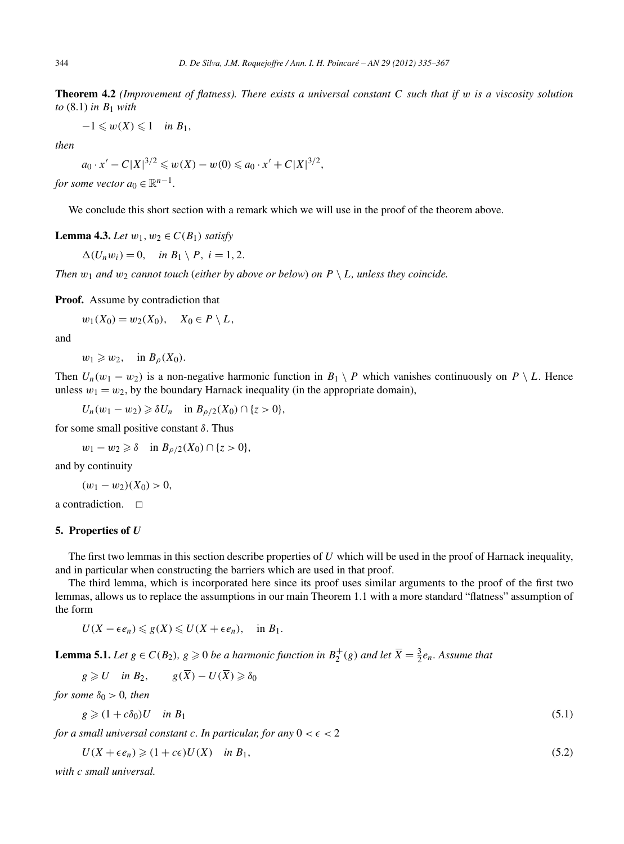**Theorem 4.2** *(Improvement of flatness). There exists a universal constant C such that if w is a viscosity solution to* (8.1) *in B*<sup>1</sup> *with*

 $-1 \leqslant w(X) \leqslant 1$  *in*  $B_1$ ,

*then*

$$
a_0 \cdot x' - C|X|^{3/2} \leq w(X) - w(0) \leq a_0 \cdot x' + C|X|^{3/2},
$$

*for some vector*  $a_0 \in \mathbb{R}^{n-1}$ .

We conclude this short section with a remark which we will use in the proof of the theorem above.

**Lemma 4.3.** *Let*  $w_1, w_2 \in C(B_1)$  *satisfy* 

 $\Delta(U_nw_i)=0$ , *in*  $B_1 \setminus P$ ,  $i=1,2$ .

*Then*  $w_1$  *and*  $w_2$  *cannot touch* (*either by above or below*) *on*  $P \setminus L$ *, unless they coincide.* 

**Proof.** Assume by contradiction that

 $w_1(X_0) = w_2(X_0), \quad X_0 \in P \setminus L$ 

and

 $w_1 \geqslant w_2$ , in  $B_\rho(X_0)$ .

Then  $U_n(w_1 - w_2)$  is a non-negative harmonic function in  $B_1 \setminus P$  which vanishes continuously on  $P \setminus L$ . Hence unless  $w_1 = w_2$ , by the boundary Harnack inequality (in the appropriate domain),

 $U_n(w_1 - w_2) \geq \delta U_n$  in  $B_{\rho/2}(X_0) \cap \{z > 0\}$ ,

for some small positive constant *δ*. Thus

 $w_1 - w_2 \ge \delta$  in *B*<sub>ρ/2</sub>(*X*<sub>0</sub>) ∩ {*z* > 0}*,* 

and by continuity

$$
(w_1 - w_2)(X_0) > 0,
$$

a contradiction.  $\Box$ 

#### **5. Properties of** *U*

The first two lemmas in this section describe properties of *U* which will be used in the proof of Harnack inequality, and in particular when constructing the barriers which are used in that proof.

The third lemma, which is incorporated here since its proof uses similar arguments to the proof of the first two lemmas, allows us to replace the assumptions in our main Theorem 1.1 with a more standard "flatness" assumption of the form

$$
U(X-\epsilon e_n)\leqslant g(X)\leqslant U(X+\epsilon e_n), \quad \text{in } B_1.
$$

**Lemma 5.1.** *Let*  $g \in C(B_2)$ *,*  $g \ge 0$  *be a harmonic function in*  $B_2^+(g)$  *and let*  $\overline{X} = \frac{3}{2}e_n$ *. Assume that* 

$$
g \geqslant U \quad \text{in } B_2, \qquad g(\overline{X}) - U(\overline{X}) \geqslant \delta_0
$$

*for some*  $\delta_0 > 0$ *, then* 

$$
g \geqslant (1 + c\delta_0)U \quad \text{in } B_1 \tag{5.1}
$$

*for a small universal constant c. In particular, for any*  $0 < \epsilon < 2$ 

$$
U(X + \epsilon e_n) \geqslant (1 + c\epsilon)U(X) \quad \text{in } B_1,\tag{5.2}
$$

*with c small universal.*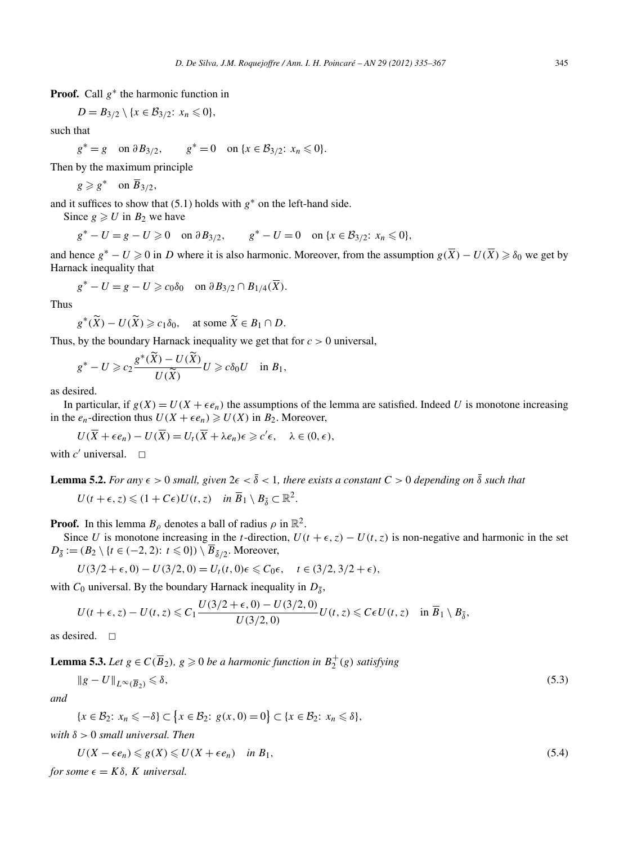**Proof.** Call *g*<sup>∗</sup> the harmonic function in

$$
D=B_{3/2}\setminus\{x\in\mathcal{B}_{3/2}\colon x_n\leq 0\},\
$$

such that

$$
g^* = g \quad \text{on } \partial B_{3/2}, \qquad g^* = 0 \quad \text{on } \{x \in \mathcal{B}_{3/2} \colon x_n \leq 0\}.
$$

Then by the maximum principle

$$
g \geqslant g^* \quad \text{on } \overline{B}_{3/2},
$$

and it suffices to show that  $(5.1)$  holds with  $g^*$  on the left-hand side.

Since  $g \ge U$  in  $B_2$  we have

 $g^* - U = g - U \ge 0$  on  $\partial B_{3/2}$ ,  $g^* - U = 0$  on  $\{x \in B_{3/2}: x_n \le 0\}$ ,

and hence  $g^* - U \geq 0$  in *D* where it is also harmonic. Moreover, from the assumption  $g(\overline{X}) - U(\overline{X}) \geq \delta_0$  we get by Harnack inequality that

$$
g^* - U = g - U \geqslant c_0 \delta_0 \quad \text{on } \partial B_{3/2} \cap B_{1/4}(\overline{X}).
$$

Thus

$$
g^* - U = g - U \ge c_0 \delta_0 \quad \text{on } \partial B_{3/2} \cap B_{1/4}(\overline{X}).
$$
  

$$
g^*(\widetilde{X}) - U(\widetilde{X}) \ge c_1 \delta_0, \quad \text{at some } \widetilde{X} \in B_1 \cap D.
$$
  
by the boundary Harnack inequality we get that  

$$
g^*(\widetilde{X}) - U(\widetilde{X})_{X \sim S} g^*(X) \le c_1 \delta_0.
$$

Thus, by the boundary Harnack inequality we get that for *c >* 0 universal,

by the boundary Harnack inequality we get that  
\n
$$
g^* - U \ge c_2 \frac{g^*(\widetilde{X}) - U(\widetilde{X})}{U(\widetilde{X})} U \ge c \delta_0 U
$$
 in  $B_1$ ,

as desired.

In particular, if  $g(X) = U(X + \epsilon e_n)$  the assumptions of the lemma are satisfied. Indeed U is monotone increasing in the  $e_n$ -direction thus  $U(X + \epsilon e_n) \ge U(X)$  in  $B_2$ . Moreover,

$$
U(\overline{X}+\epsilon e_n)-U(\overline{X})=U_t(\overline{X}+\lambda e_n)\epsilon\geqslant c'\epsilon, \quad \lambda\in(0,\epsilon),
$$

with  $c'$  universal.  $\Box$ 

**Lemma 5.2.** For any 
$$
\epsilon > 0
$$
 small, given  $2\epsilon < \delta < 1$ , there exists a constant  $C > 0$  depending on  $\delta$  such that  
 $U(t + \epsilon, z) \leq (1 + C\epsilon)U(t, z)$  in  $\overline{B}_1 \setminus B_{\overline{\delta}} \subset \mathbb{R}^2$ .

**Proof.** In this lemma  $B_\rho$  denotes a ball of radius  $\rho$  in  $\mathbb{R}^2$ .

Since *U* is monotone increasing in the *t*-direction,  $U(t + \epsilon, z) - U(t, z)$  is non-negative and harmonic in the set  $D_{\overline{\delta}} := (B_2 \setminus \{t \in (-2, 2): t \leq 0\}) \setminus \overline{B}_{\overline{\delta}/2}$ . Moreover,

$$
U(3/2 + \epsilon, 0) - U(3/2, 0) = U_t(t, 0) \epsilon \leq C_0 \epsilon, \quad t \in (3/2, 3/2 + \epsilon),
$$

with  $C_0$  universal. By the boundary Harnack inequality in  $D_{\bar{s}}$ ,

$$
U(t+\epsilon,z)-U(t,z)\leqslant C_1\frac{U(3/2+\epsilon,0)-U(3/2,0)}{U(3/2,0)}U(t,z)\leqslant C\epsilon U(t,z)\quad\text{in }\overline{B}_1\setminus B_{\overline{\delta}},
$$

as desired.  $\square$ 

**Lemma 5.3.** *Let*  $g \in C(\overline{B}_2)$ *,*  $g \ge 0$  *be a harmonic function in*  $B_2^+(g)$  *satisfying* 

$$
\|g - U\|_{L^{\infty}(\overline{B}_2)} \leq \delta,\tag{5.3}
$$

*and*

 $\|g - U\|_{L^{\infty}(\overline{B}_2)} \le \delta,$ <br>
{*x* ∈ B<sub>2</sub>: *x<sub>n</sub>* ≤ −δ} ⊂ {*x* ∈ B<sub>2</sub>: *g*(*x*, 0) = 0} ⊂ {*x* ∈ B<sub>2</sub>: *x<sub>n</sub>* ≤ δ},

with 
$$
\delta > 0
$$
 small universal. Then

$$
U(X - \epsilon e_n) \leq g(X) \leq U(X + \epsilon e_n) \quad \text{in } B_1,\tag{5.4}
$$

*for some*  $\epsilon = K\delta$ *, K universal.*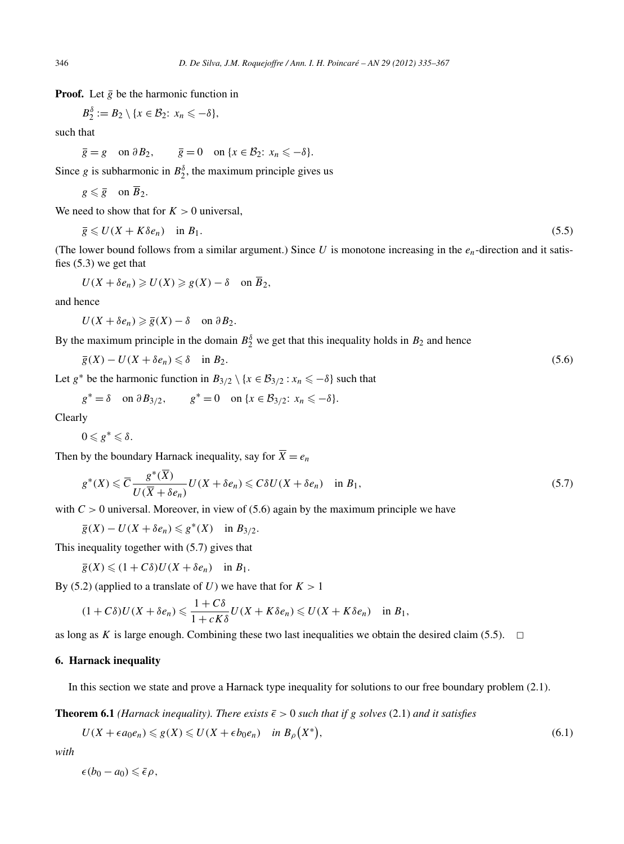**Proof.** Let  $\overline{g}$  be the harmonic function in

$$
B_2^{\delta} := B_2 \setminus \{x \in B_2 : x_n \leqslant -\delta\},\
$$

such that

$$
\overline{g} = g
$$
 on  $\partial B_2$ ,  $\overline{g} = 0$  on  $\{x \in B_2 : x_n \leq -\delta\}.$ 

Since *g* is subharmonic in  $B_2^{\delta}$ , the maximum principle gives us

$$
g\leqslant \overline{g}\quad\text{ on }\overline{B}_2.
$$

We need to show that for  $K > 0$  universal,

$$
\overline{g} \leqslant U(X + K\delta e_n) \quad \text{in } B_1. \tag{5.5}
$$

(The lower bound follows from a similar argument.) Since  $U$  is monotone increasing in the  $e_n$ -direction and it satisfies (5.3) we get that

$$
U(X+\delta e_n)\geqslant U(X)\geqslant g(X)-\delta \quad \text{on } \overline{B}_2,
$$

and hence

 $U(X + \delta e_n) \geqslant \overline{g}(X) - \delta$  on  $\partial B_2$ .

By the maximum principle in the domain  $B_2^{\delta}$  we get that this inequality holds in  $B_2$  and hence

$$
\overline{g}(X) - U(X + \delta e_n) \leq \delta \quad \text{in } B_2. \tag{5.6}
$$

Let  $g^*$  be the harmonic function in  $B_{3/2} \setminus \{x \in B_{3/2} : x_n \leq -\delta\}$  such that

$$
g^* = \delta \quad \text{on } \partial B_{3/2}, \qquad g^* = 0 \quad \text{on } \{x \in \mathcal{B}_{3/2} \colon x_n \leq -\delta\}.
$$

Clearly

 $0 \leqslant g^* \leqslant \delta$ .

Then by the boundary Harnack inequality, say for  $\overline{X} = e_n$ 

$$
g^*(X) \leq \overline{C} \frac{g^*(\overline{X})}{U(\overline{X} + \delta e_n)} U(X + \delta e_n) \leq C \delta U(X + \delta e_n) \quad \text{in } B_1,
$$
\n
$$
(5.7)
$$

with  $C > 0$  universal. Moreover, in view of (5.6) again by the maximum principle we have

 $g(X) - U(X + \delta e_n) \leq g^*(X)$  in  $B_{3/2}$ .

This inequality together with (5.7) gives that

$$
\overline{g}(X) \leq (1 + C\delta)U(X + \delta e_n) \quad \text{in } B_1.
$$

By (5.2) (applied to a translate of *U*) we have that for  $K > 1$ 

$$
(1+C\delta)U(X+\delta e_n)\leqslant \frac{1+C\delta}{1+cK\delta}U(X+K\delta e_n)\leqslant U(X+K\delta e_n)\quad \text{in }B_1,
$$

as long as *K* is large enough. Combining these two last inequalities we obtain the desired claim (5.5).  $\Box$ 

# **6. Harnack inequality**

In this section we state and prove a Harnack type inequality for solutions to our free boundary problem (2.1).

**Theorem 6.1** *(Harnack inequality). There exists*  $\bar{\epsilon} > 0$  *such that if g solves* (2.1) *and it satisfies* 

this section we state and prove a Harnack type inequality for solutions to our free boundary problem (2.1).  
\n**cem 6.1** (*Harnack inequality*). *There exists* 
$$
\bar{\epsilon} > 0
$$
 *such that if g solves* (2.1) *and it satisfies*  
\n $U(X + \epsilon a_0 e_n) \leq g(X) \leq U(X + \epsilon b_0 e_n)$  in  $B_\rho(X^*)$ , (6.1)

*with*

 $\epsilon(b_0 - a_0) \leqslant \bar{\epsilon} \rho$ ,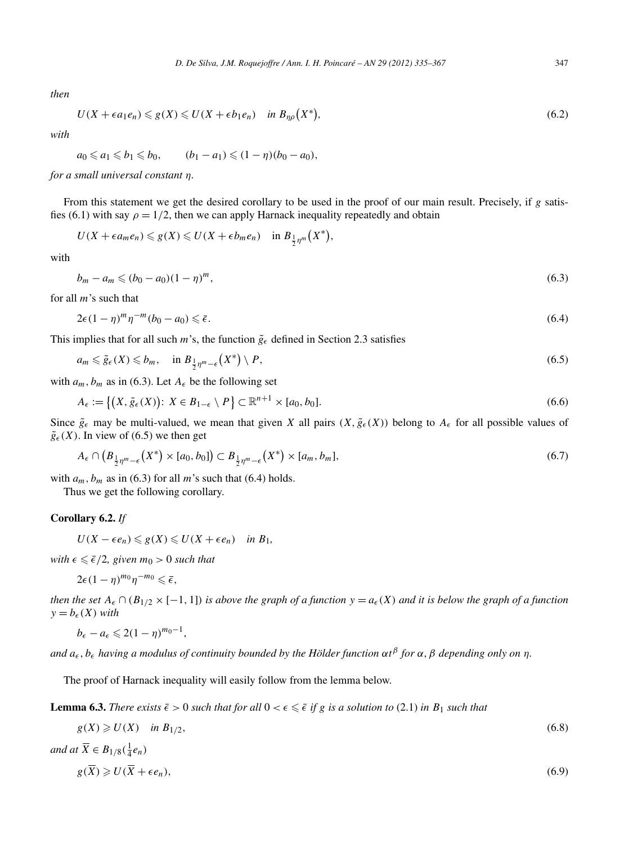*then*

D. De Silva, J.M. Roquejoffre / Ann. I. H. Poincaré – AN 29 (2012) 335–367  
347  

$$
U(X + \epsilon a_1 e_n) \leq g(X) \leq U(X + \epsilon b_1 e_n) \quad \text{in } B_{\eta\rho}(X^*), \tag{6.2}
$$

*with*

$$
a_0 \le a_1 \le b_1 \le b_0
$$
,  $(b_1 - a_1) \le (1 - \eta)(b_0 - a_0)$ ,

*for a small universal constant η.*

From this statement we get the desired corollary to be used in the proof of our main result. Precisely, if *g* satisfies (6.1) with say  $\rho = 1/2$ , then we can apply Harnack inequality repeatedly and obtain used<br>qual<br>*X*\*)

$$
U(X+\epsilon a_m e_n)\leqslant g(X)\leqslant U(X+\epsilon b_m e_n) \quad \text{in $B_{\frac{1}{2}\eta^m}(X^*)$},
$$

with

$$
b_m - a_m \leqslant (b_0 - a_0)(1 - \eta)^m,\tag{6.3}
$$

for all *m*'s such that

$$
2\epsilon (1 - \eta)^m \eta^{-m} (b_0 - a_0) \leq \bar{\epsilon}.\tag{6.4}
$$

This implies that for all such *m*'s, the function  $\tilde{g}_{\epsilon}$  defined in Section 2.3 satisfies

$$
2\epsilon (1 - \eta)^m \eta^{-m} (b_0 - a_0) \le \bar{\epsilon}.
$$
\n(6.4)

\nimplies that for all such  $m$ 's, the function  $\tilde{g}_{\epsilon}$  defined in Section 2.3 satisfies

\n
$$
a_m \le \tilde{g}_{\epsilon}(X) \le b_m, \quad \text{in } B_{\frac{1}{2}\eta^m - \epsilon}(X^*) \setminus P,
$$
\n
$$
a_m, b_m \text{ as in (6.3). Let } A_{\epsilon} \text{ be the following set}
$$
\n
$$
A_{\epsilon} := \{(X, \tilde{g}_{\epsilon}(X)) : X \in B_{1-\epsilon} \setminus P\} \subset \mathbb{R}^{n+1} \times [a_0, b_0].
$$
\n(6.6)

with  $a_m$ ,  $b_m$  as in (6.3). Let  $A_\epsilon$  be the following set

$$
A_{\epsilon} := \left\{ \left( X, \tilde{g}_{\epsilon}(X) \right) : X \in B_{1-\epsilon} \setminus P \right\} \subset \mathbb{R}^{n+1} \times [a_0, b_0]. \tag{6.6}
$$

Since  $\tilde{g}_{\epsilon}$  may be multi-valued, we mean that given *X* all pairs  $(X, \tilde{g}_{\epsilon}(X))$  belong to  $A_{\epsilon}$  for all possible values of  $\tilde{g}_{\epsilon}(X)$ . In view of (6.5) we then get *A*<sub>*E*</sub> := {(*X*, *g*<sub>*E*</sub>(*X*)): *A*  $\in$  *D*<sub>1-*E*</sub> \ *P*}  $\subset$  *K* × <br> *Z*<sub>*B*</sub> may be multi-valued, we mean that given<br> *A*<sub>*E*</sub>  $\cap$  (*B*<sub> $\frac{1}{2}n^m - e(X^*) \times [a_0, b_0]$ )  $\subset B_{\frac{1}{2}n^m - e}(X^*)$ </sub>

$$
A_{\epsilon} \cap (B_{\frac{1}{2}\eta^m - \epsilon}(X^*) \times [a_0, b_0]) \subset B_{\frac{1}{2}\eta^m - \epsilon}(X^*) \times [a_m, b_m],
$$
\n
$$
(6.7)
$$

with  $a_m$ ,  $b_m$  as in (6.3) for all m's such that (6.4) holds.

Thus we get the following corollary.

# **Corollary 6.2.** *If*

$$
U(X-\epsilon e_n)\leqslant g(X)\leqslant U(X+\epsilon e_n) \quad \text{in } B_1,
$$

*with*  $\epsilon \leq \epsilon/2$ , given  $m_0 > 0$  such that

$$
2\epsilon(1-\eta)^{m_0}\eta^{-m_0}\leq \bar{\epsilon},
$$

*then the set*  $A_\epsilon \cap (B_{1/2} \times [-1, 1])$  *is above the graph of a function*  $y = a_\epsilon(X)$  *and it is below the graph of a function*  $y = b_{\epsilon}(X)$  *with* 

$$
b_{\epsilon}-a_{\epsilon}\leqslant 2(1-\eta)^{m_0-1},
$$

*and a , b having a modulus of continuity bounded by the Hölder function αt<sup>β</sup> for α, β depending only on η.*

The proof of Harnack inequality will easily follow from the lemma below.

**Lemma 6.3.** *There exists*  $\bar{\epsilon} > 0$  *such that for all*  $0 < \epsilon \leq \bar{\epsilon}$  *if g is a solution to* (2.1) *in*  $B_1$  *such that* 

$$
g(X) \ge U(X) \quad \text{in } B_{1/2},\tag{6.8}
$$

and at 
$$
\overline{X} \in B_{1/8}(\frac{1}{4}e_n)
$$
  
\n $g(\overline{X}) \ge U(\overline{X} + \epsilon e_n),$  (6.9)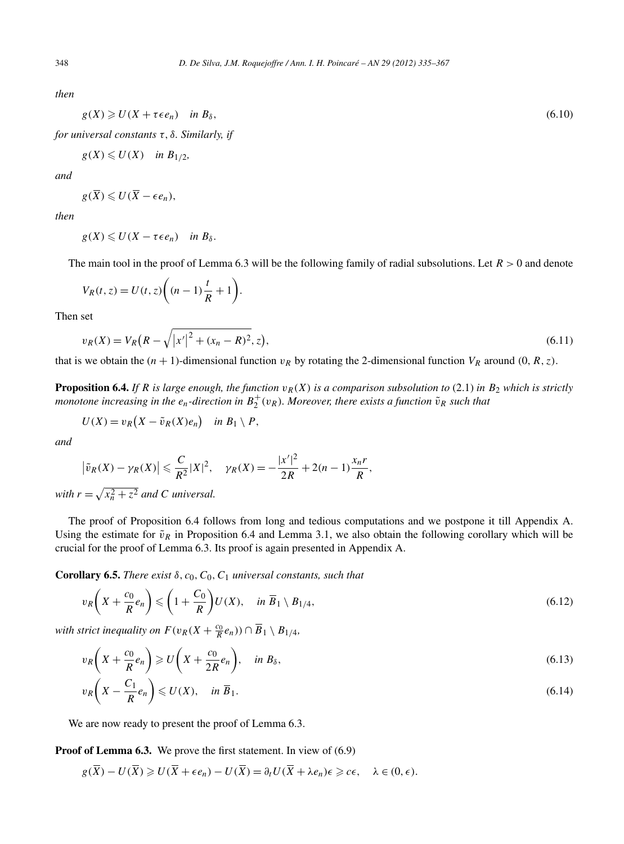*then*

$$
g(X) \geqslant U(X + \tau \epsilon e_n) \quad \text{in } B_\delta,
$$
\n
$$
(6.10)
$$

*for universal constants τ,δ. Similarly, if*

$$
g(X) \leqslant U(X) \quad \text{in } B_{1/2},
$$

*and*

$$
g(\overline{X})\leqslant U(\overline{X}-\epsilon e_n),
$$

*then*

The main tool in the proof of Lemma 6.3 will be the following family of radial subsolutions. Let *R >* 0 and denote

$$
g(X) \leq U(X - \tau \epsilon e_n) \quad \text{in } B_\delta.
$$
  
e main tool in the proof of Lemma 6.3  

$$
V_R(t, z) = U(t, z) \left( (n - 1) \frac{t}{R} + 1 \right).
$$

Then set

$$
V_R(t, z) = U(t, z) \left( (n - 1) \frac{1}{R} + 1 \right).
$$
  
set  

$$
v_R(X) = V_R \left( R - \sqrt{|x'|^2 + (x_n - R)^2}, z \right),
$$
 (6.11)

that is we obtain the  $(n + 1)$ -dimensional function  $v_R$  by rotating the 2-dimensional function  $V_R$  around  $(0, R, z)$ .

**Proposition 6.4.** *If*  $R$  *is large enough, the function*  $v_R(X)$  *is a comparison subsolution to* (2.1) *in*  $B_2$  *which is strictly monotone increasing in the*  $e_n$ *-direction in*  $B_2^+(v_R)$ *. Moreover, there exists a function*  $\tilde{v}_R$  *such that* 

$$
U(X) = v_R(X - \tilde{v}_R(X)e_n) \quad in \ B_1 \setminus P,
$$

*and*

$$
U(X) = v_R(X - \tilde{v}_R(X)e_n) \quad \text{in } B_1 \setminus P,
$$
  
and  

$$
|\tilde{v}_R(X) - \gamma_R(X)| \leq \frac{C}{R^2}|X|^2, \quad \gamma_R(X) = -\frac{|x'|^2}{2R} + 2(n-1)\frac{x_n r}{R},
$$
  
with  $r = \sqrt{x_n^2 + z^2}$  and C universal.

The proof of Proposition 6.4 follows from long and tedious computations and we postpone it till Appendix A. Using the estimate for  $\tilde{v}_R$  in Proposition 6.4 and Lemma 3.1, we also obtain the following corollary which will be crucial for the proof of Lemma 6.3. Its proof is again presented in Appendix A.

**Corollary 6.5.** *There exist δ,c*0*, C*0*, C*<sup>1</sup> *universal constants, such that*

$$
v_R\left(X+\frac{c_0}{R}e_n\right) \leqslant \left(1+\frac{C_0}{R}\right)U(X), \quad \text{in } \overline{B}_1 \setminus B_{1/4},\tag{6.12}
$$

*with strict inequality on*  $F(v_R(X + \frac{c_0}{R}e_n)) \cap \overline{B}_1 \setminus B_{1/4}$ ,

$$
v_R\left(X+\frac{c_0}{R}e_n\right)\geqslant U\left(X+\frac{c_0}{2R}e_n\right), \quad \text{in } B_\delta,
$$
\n
$$
(6.13)
$$

$$
v_R\left(X - \frac{C_1}{R}e_n\right) \leqslant U(X), \quad \text{in } \overline{B}_1. \tag{6.14}
$$

We are now ready to present the proof of Lemma 6.3.

**Proof of Lemma 6.3.** We prove the first statement. In view of (6.9)

$$
g(\overline{X}) - U(\overline{X}) \ge U(\overline{X} + \epsilon e_n) - U(\overline{X}) = \partial_t U(\overline{X} + \lambda e_n) \epsilon \ge c\epsilon, \quad \lambda \in (0, \epsilon).
$$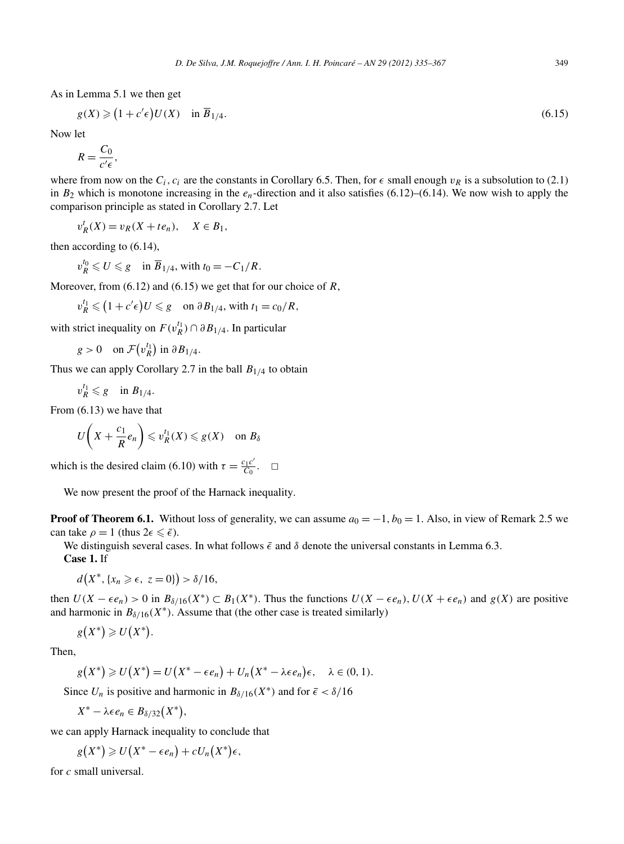As in Lemma 5.1 we then get  $na 5$ <br> $\geqslant 6$ 

$$
g(X) \geq (1 + c'\epsilon)U(X) \quad \text{in } \overline{B}_{1/4}.
$$
\n
$$
(6.15)
$$

Now let

$$
R=\frac{C_0}{c'\epsilon},
$$

where from now on the  $C_i$ ,  $c_i$  are the constants in Corollary 6.5. Then, for  $\epsilon$  small enough  $v_R$  is a subsolution to (2.1) in  $B_2$  which is monotone increasing in the  $e_n$ -direction and it also satisfies (6.12)–(6.14). We now wish to apply the comparison principle as stated in Corollary 2.7. Let

 $v_R^t(X) = v_R(X + te_n), \quad X \in B_1,$ 

then according to (6.14),

$$
v_R^{t_0} \leqslant U \leqslant g \quad \text{in } \overline{B}_{1/4}, \text{ with } t_0 = -C_1/R.
$$

Moreover, from (6.12) and (6.15) we get that for our choice of *R*,

$$
v_R^{t_0} \le U \le g \quad \text{in } \overline{B}_{1/4}, \text{ with } t_0 = -C_1/R.
$$
  
over, from (6.12) and (6.15) we get that for our ch  

$$
v_R^{t_1} \le (1 + c' \epsilon) U \le g \quad \text{on } \partial B_{1/4}, \text{ with } t_1 = c_0/R,
$$
strict inequality on  $F(v_R^{t_1}) \cap \partial B_{1/4}$ . In particular  
 $g > 0 \quad \text{on } \mathcal{F}(v_R^{t_1}) \text{ in } \partial B_{1/4}.$ 

with strict inequality on  $F(v_R^{t_1}) \cap \partial B_{1/4}$ . In particular

$$
g > 0 \quad \text{on } \mathcal{F}(v_R^{t_1}) \text{ in } \partial B_{1/4}.
$$

Thus we can apply Corollary 2.7 in the ball  $B_{1/4}$  to obtain

$$
v_R^{t_1} \leqslant g \quad \text{in } B_{1/4}.
$$

From (6.13) we have that

$$
U\bigg(X+\frac{c_1}{R}e_n\bigg)\leq v_R^{t_1}(X)\leq g(X)\quad \text{on }B_\delta
$$

which is the desired claim (6.10) with  $\tau = \frac{c_1 c'}{C_0}$ .  $\Box$ 

We now present the proof of the Harnack inequality.

**Proof of Theorem 6.1.** Without loss of generality, we can assume  $a_0 = -1$ ,  $b_0 = 1$ . Also, in view of Remark 2.5 we can take  $\rho = 1$  (thus  $2\epsilon \leq \bar{\epsilon}$ ).

We distinguish several cases. In what follows  $\bar{\epsilon}$  and  $\delta$  denote the universal constants in Lemma 6.3.

**Case 1.** If

$$
d(X^*, \{x_n \geqslant \epsilon, \ z = 0\}) > \delta/16,
$$

then  $U(X - \epsilon e_n) > 0$  in  $B_{\delta/16}(X^*) \subset B_1(X^*)$ . Thus the functions  $U(X - \epsilon e_n)$ ,  $U(X + \epsilon e_n)$  and  $g(X)$  are positive and harmonic in  $B_{\delta/16}(X^*)$ . Assume that (the other case is treated similarly) *X* ,<br>*X* –<br>*X*\*)  $, \{x_n \geq \epsilon, \ z_n \}$ <br>  $- \epsilon e_n$ ) > 0<br>
ic in  $B_{\delta/16}$ <br>  $) \geq U(X^*)$ 

*g .*  $\overline{a}$ 

Then,

*g X*<sup>\*</sup>)<br>*X*<sup>\*</sup>)  $) \ge U(X^*)$ <br>  $) \ge U(X^*)$  $= U(X^* - \epsilon e_n) + U_n(X^* - \lambda \epsilon e_n)\epsilon, \quad \lambda \in (0, 1).$  $g(X^*) \ge U(X^*) = U(X)$ <br> *X*<sup>∗</sup> – *λ ce<sub>n</sub>* ∈ *B<sub>δ/32</sub>*(*X*<sup>\*</sup>)

Since  $U_n$  is positive and harmonic in  $B_{\delta/16}(X^*)$  and for  $\bar{\epsilon} < \delta/16$  $\frac{1}{2}$   $\frac{1}{2}$   $\frac{1}{2}$   $\frac{1}{2}$   $\frac{1}{2}$   $\frac{1}{2}$   $\frac{1}{2}$   $\frac{1}{2}$   $\frac{1}{2}$   $\frac{1}{2}$   $\frac{1}{2}$   $\frac{1}{2}$   $\frac{1}{2}$   $\frac{1}{2}$   $\frac{1}{2}$   $\frac{1}{2}$   $\frac{1}{2}$   $\frac{1}{2}$   $\frac{1}{2}$   $\frac{1}{2}$   $\frac{1}{2}$   $\frac{1}{2}$ 

$$
X^* - \lambda \epsilon e_n \in B_{\delta/32}(X^*),
$$

we can apply Harnack inequality to conclude that

$$
X^* - \lambda \epsilon e_n \in B_{\delta/32}(X^*),
$$
  
\n*n* apply Harnack inequality to conclude  
\n
$$
g(X^*) \ge U(X^* - \epsilon e_n) + cU_n(X^*)\epsilon,
$$

for *c* small universal.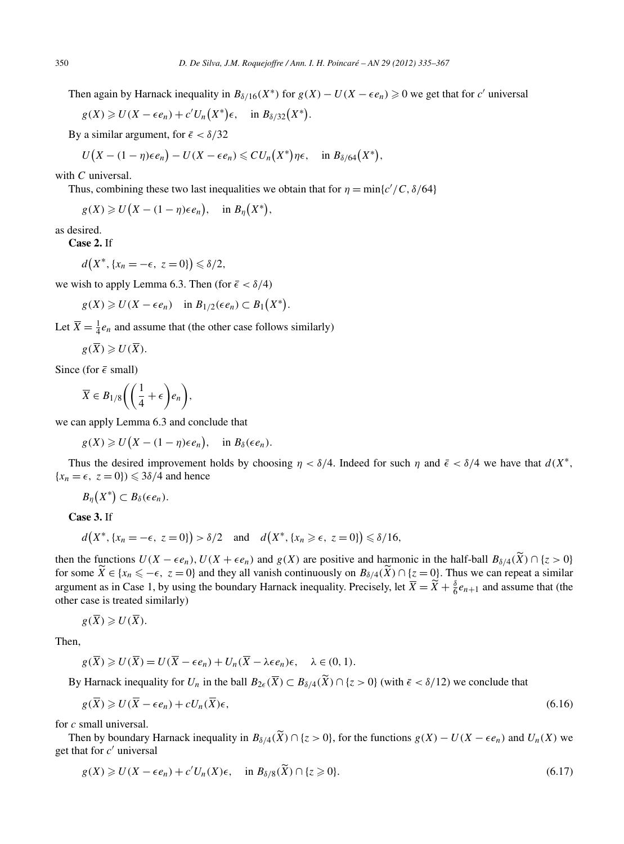Then again by Harnack inequality in  $B_{\delta/16}(X^*)$  for  $g(X) - U(X - \epsilon e_n) \geq 0$  we get that for *c'* universal

\n
$$
D. \text{ } D. \text{ } D. \text{ } D. \text{ } M. \text{ } R \text{ } G
$$
\n

\n\n In the image, the equation is:\n  $\text{Equation}(X^*) = \text{Equation}(X^*)$ \n and the equation is:\n  $\text{Equation}(X^*) = \text{Equation}(X^*)$ \n and the equation is:\n  $\text{Equation}(X^*) = \text{Equation}(X^*)$ \n and the equation is:\n  $\text{Equation}(X^*) = \text{Equation}(X^*)$ \n and the equation is:\n  $\text{Equation}(X^*) = \text{Equation}(X^*)$ \n and the equation is:\n  $\text{Equation}(X^*) = \text{Equation}(X^*)$ \n and the equation is:\n  $\text{Equation}(X^*) = \text{Equation}(X^*)$ \n and the equation is:\n  $\text{Equation}(X^*) = \text{Equation}(X^*)$ \n and the equation is:\n  $\text{Equation}(X^*) = \text{Equation}(X^*)$ \n and the equation is:\n  $\text{Equation}(X^*) = \text{Equation}(X^*)$ \n and the equation is:\n  $\text{Equation}(X^*) = \text{Equation}(X^*)$ \n and the equation is:\n  $\text{Equation}(X^*) = \text{Equation}(X^*)$ \n and the equation is:\n  $\text{Equation}(X^*) = \text{Equation}(X^*)$ \n and the equation is:\n  $\text{Equation}(X^*) = \text{Equation}(X^*)$ \n and the equation is:\n  $\text{Equation}(X^*) = \text{Equation}(X^*)$ \n and the equation is:\n  $\text{Equation}(X^*) = \text{Equation}(X^*)$ \n and the equation is:\n  $\text{Equation}(X^*) = \text{Equation}(X^*)$ \n and the equation is:\n  $\text{Equation}(X^*) = \text{Equation}(X^*)$ \n and the equation is:\n  $\text{Equation}(X^*) = \text{Equation}(X^*)$ \n and the equation is:\n  $\text{Equation}(X^*) = \text{Equation}(X^*)$ \n and the equation is:\n  $\text{Equation}(X^*) = \text{Equation}(X^*)$ \n and the equation is:\n  $\text{Equation}(X$ 

By a similar argument, for  $\bar{\epsilon} < \delta/32$ 

$$
g(X) \geq U(X - \epsilon e_n) + c'U_n(X^*)\epsilon, \quad \text{in } B_{\delta/32}(X^*).
$$
  
a similar argument, for  $\bar{\epsilon} < \delta/32$   

$$
U(X - (1 - \eta)\epsilon e_n) - U(X - \epsilon e_n) \leq C U_n(X^*)\eta \epsilon, \quad \text{in } B_{\delta/64}(X^*),
$$

with *C* universal.

Thus, combining these two last inequalities we obtain that for  $\eta = \min\{c'/C, \delta/64\}$ 

$$
U(A - (1 - \eta)\epsilon e_n) - U(A - \epsilon e_n) \leq U_0
$$
  
\n
$$
U
$$
 universal.  
\n
$$
U(X) \geq U(X - (1 - \eta)\epsilon e_n), \text{ in } B_{\eta}(X^*),
$$

as desired.

**Case 2.** If

$$
d(X^*, \{x_n = -\epsilon, \ z = 0\}) \leq \delta/2,
$$

we wish to apply Lemma 6.3. Then (for  $\epsilon < \delta/4$ )

$$
d(X^*, \{x_n = -\epsilon, \ z = 0\}) \le \delta/2,
$$
  
with to apply Lemma 6.3. Then (for  $\bar{\epsilon} < \delta/4$ )  

$$
g(X) \ge U(X - \epsilon e_n) \quad \text{in } B_{1/2}(\epsilon e_n) \subset B_1(X^*).
$$

Let  $\overline{X} = \frac{1}{4}e_n$  and assume that (the other case follows similarly)

$$
g(\overline{X})\geqslant U(\overline{X}).
$$

Since (for  $\epsilon$  small)

$$
\overline{X} \in B_{1/8} \left( \left( \frac{1}{4} + \epsilon \right) e_n \right),
$$
  
n apply Lemma 6.3 and conclude that  

$$
g(X) \geq U(X - (1 - \eta) \epsilon e_n), \text{ in } B_{\delta}(\epsilon e_n).
$$

we can apply Lemma 6.3 and conclude that

Thus the desired improvement holds by choosing  $\eta < \delta/4$ . Indeed for such  $\eta$  and  $\bar{\epsilon} < \delta/4$  we have that  $d(X^*,$  ${x_n = \epsilon, z = 0} \leq 3\delta/4$  and hence *y* ≥<br>he d<br>*z* = (<br>*X*<sup>\*</sup>)

$$
B_{\eta}(X^*)\subset B_{\delta}(\epsilon e_n).
$$

**Case 3.** If

 $d(X^*, \{x_n = -\epsilon, z = 0\}) > \delta/2$  and  $d(X^*, \{x_n \geq \epsilon, z = 0\}) \leq \delta/16$ ,

then the functions  $U(X - \epsilon e_n)$ ,  $U(X + \epsilon e_n)$  and  $g(X)$  are positive and harmonic in the half-ball  $B_{\delta/4}(\widetilde{X}) \cap \{z > 0\}$  $d(X^*, \{x_n = -\epsilon, z = 0\}) > \delta/2$  and  $d(X^*, \{x_n \ge \epsilon, z = 0\}) \le \delta/16$ ,<br>then the functions  $U(X - \epsilon e_n)$ ,  $U(X + \epsilon e_n)$  and  $g(X)$  are positive and harmonic in the half-ball  $B_{\delta/4}(\widetilde{X}) \cap \{z > 0\}$ <br>for some  $\widetilde{X} \in \{x_n \le -\epsilon, z = 0\}$  argument as in Case 1, by using the boundary Harnack inequality. Precisely, let  $\overline{X} = \overline{X} + \frac{8}{6}$ <br>argument as in Case 1, by using the boundary Harnack inequality. Precisely, let  $\overline{X} = \overline{X} + \frac{8}{6}$ argument as in Case 1, by using the boundary Harnack inequality. Precisely, let  $\overline{X} = \widetilde{X} + \frac{\delta}{6}e_{n+1}$  and assume that (the other case is treated similarly)

$$
g(\overline{X}) \geqslant U(\overline{X}).
$$

Then,

$$
g(\overline{X}) \geq U(\overline{X}) = U(\overline{X} - \epsilon e_n) + U_n(\overline{X} - \lambda \epsilon e_n)\epsilon, \quad \lambda \in (0, 1).
$$

By Harnack inequality for  $U_n$  in the ball  $B_{2\epsilon}(\overline{X}) \subset B_{\delta/4}(\widetilde{X}) \cap \{z > 0\}$  (with  $\overline{\epsilon} < \delta/12$ ) we conclude that

$$
g(\overline{X}) \geqslant U(\overline{X} - \epsilon e_n) + cU_n(\overline{X})\epsilon,\tag{6.16}
$$

for *c* small universal.

 $g(\overline{X}) \ge U(\overline{X} - \epsilon e_n) + cU_n(\overline{X})\epsilon$ , (6.16)<br> *c* small universal.<br>
Then by boundary Harnack inequality in  $B_{\delta/4}(\widetilde{X}) \cap \{z > 0\}$ , for the functions  $g(X) - U(X - \epsilon e_n)$  and  $U_n(X)$  we get that for *c* universal inequality in  $B_{\delta/4}(\widetilde{X}) \cap \{z > 0\}$ <br>  $U_n(X) \in$ , in  $B_{\delta/8}(\widetilde{X}) \cap \{z \geq 0\}$ 

$$
g(X) \geq U(X - \epsilon e_n) + c'U_n(X)\epsilon, \quad \text{in } B_{\delta/8}(\widetilde{X}) \cap \{z \geq 0\}.
$$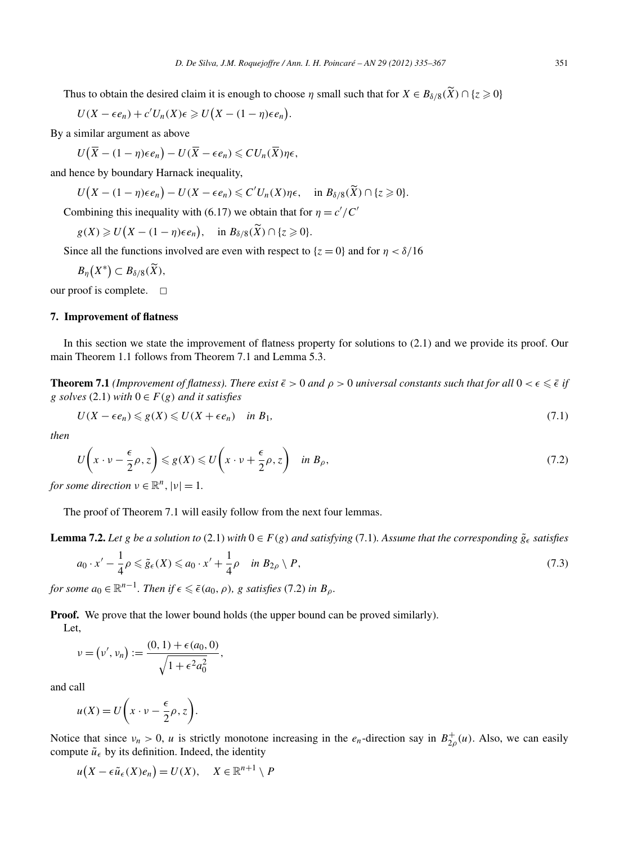*D. De Silva, J.M. Roquejoffre / Ann. I. H. Poincaré – AN 29 (2012) 335–367*<br>Thus to obtain the desired claim it is enough to choose *η* small such that for  $X \in B_{\delta/8}(\widetilde{X}) \cap \{z \ge 0\}$ 

\n
$$
D. \text{ } De \text{ } Silva, \text{ } J.M. \text{ } Roquejoffer/A
$$
\n

\n\n us to obtain the desired claim, it is to choose:\n 
$$
U(X - \epsilon e_n) + c'U_n(X)\epsilon \geq U\left(X - (1 - \eta)\epsilon e_n\right).
$$
\n

\n\n similar argument as above:\n 
$$
U\left(\overline{X} - (1 - \eta)\epsilon e_n\right) - U\left(\overline{X} - \epsilon e_n\right) \leq C U_n(\overline{X}) \eta e_n.
$$
\n

By a similar argument as above

$$
U(\overline{X} - (1 - \eta)\epsilon e_n) - U(\overline{X} - \epsilon e_n) \leq C U_n(\overline{X})\eta \epsilon,
$$
  
ence by boundary Harnack inequality,  

$$
U(X - (1 - \eta)\epsilon e_n) - U(X - \epsilon e_n) \leq C'U_n(X)\eta \epsilon
$$

and hence by boundary Harnack inequality,

$$
U(\overline{X} - (1 - \eta)\epsilon e_n) - U(\overline{X} - \epsilon e_n) \leq C U_n(\overline{X})\eta \epsilon,
$$
  
ence by boundary Harnack inequality,  

$$
U(X - (1 - \eta)\epsilon e_n) - U(X - \epsilon e_n) \leq C' U_n(X)\eta \epsilon, \quad \text{in } B_{\delta/8}(\widetilde{X}) \cap \{z \geq 0\}.
$$
  
mbining this inequality with (6.17) we obtain that for  $\eta = c'/C'$   

$$
g(X) \geq U(X - (1 - \eta)\epsilon e_n), \quad \text{in } B_{\delta/8}(\widetilde{X}) \cap \{z \geq 0\}.
$$

Combining this inequality with (6.17) we obtain that for  $\eta = c'/C'$ 

 $g(X) \geq U(X - (1 - \eta)\epsilon e_n), \text{ in } B_{\delta/8}(X) \cap \{z \geq 0\}.$ 

Since all the functions involved are even with respect to  $\{z = 0\}$  and for  $\eta < \delta/16$ 

 $B_{\eta}(X^*)$  $X \ge U(X - (1 - \lambda))$ <br>all the functions<br> $(X^*) \subset B_{\delta/8}(\widetilde{X}),$ 

our proof is complete.  $\Box$ 

#### **7. Improvement of flatness**

In this section we state the improvement of flatness property for solutions to (2.1) and we provide its proof. Our main Theorem 1.1 follows from Theorem 7.1 and Lemma 5.3.

**Theorem 7.1** *(Improvement of flatness). There exist*  $\bar{\epsilon} > 0$  *and*  $\rho > 0$  *universal constants such that for all*  $0 < \epsilon \leq \bar{\epsilon}$  *if g solves* (2.1) *with* 0 ∈ *F (g) and it satisfies*

$$
U(X - \epsilon e_n) \leq g(X) \leq U(X + \epsilon e_n) \quad \text{in } B_1,\tag{7.1}
$$

*then*

$$
U(X - \epsilon e_n) \leq g(X) \leq U(X + \epsilon e_n) \quad \text{in } B_1,
$$
  
\n
$$
U\left(x \cdot v - \frac{\epsilon}{2}\rho, z\right) \leq g(X) \leq U\left(x \cdot v + \frac{\epsilon}{2}\rho, z\right) \quad \text{in } B_\rho,
$$
\n(7.2)

*for some direction*  $\nu \in \mathbb{R}^n$ ,  $|\nu| = 1$ .

The proof of Theorem 7.1 will easily follow from the next four lemmas.

*,*

**Lemma 7.2.** *Let g be a solution to* (2.1) *with*  $0 \in F(g)$  *and satisfying* (7.1)*. Assume that the corresponding*  $\tilde{g}_\epsilon$  *satisfies* 

$$
a_0 \cdot x' - \frac{1}{4}\rho \le \tilde{g}_{\epsilon}(X) \le a_0 \cdot x' + \frac{1}{4}\rho \quad \text{in } B_{2\rho} \setminus P,
$$
\n
$$
(7.3)
$$

*for some*  $a_0 \in \mathbb{R}^{n-1}$ *. Then if*  $\epsilon \leq \bar{\epsilon}(a_0, \rho)$ *, g satisfies* (7.2) *in*  $B_\rho$ *.* 

*.*

**Proof.** We prove that the lower bound holds (the upper bound can be proved similarly). Let,

We prove that the lower bound  
\n
$$
v = (v', v_n) := \frac{(0, 1) + \epsilon(a_0, 0)}{\sqrt{1 + \epsilon^2 a_0^2}}
$$
  
\nall  
\n $u(X) = U(x \cdot v - \frac{\epsilon}{2} \rho, z).$ 

and call

$$
u(X) = U\left(x \cdot v - \frac{\epsilon}{2}\rho, z\right)
$$

Notice that since  $v_n > 0$ , *u* is strictly monotone increasing in the  $e_n$ -direction say in  $B_{2\rho}^+(u)$ . Also, we can easily compute  $\tilde{u}_{\epsilon}$  by its definition. Indeed, the identity

$$
u(X - \epsilon \tilde{u}_{\epsilon}(X)e_n) = U(X), \quad X \in \mathbb{R}^{n+1} \setminus P
$$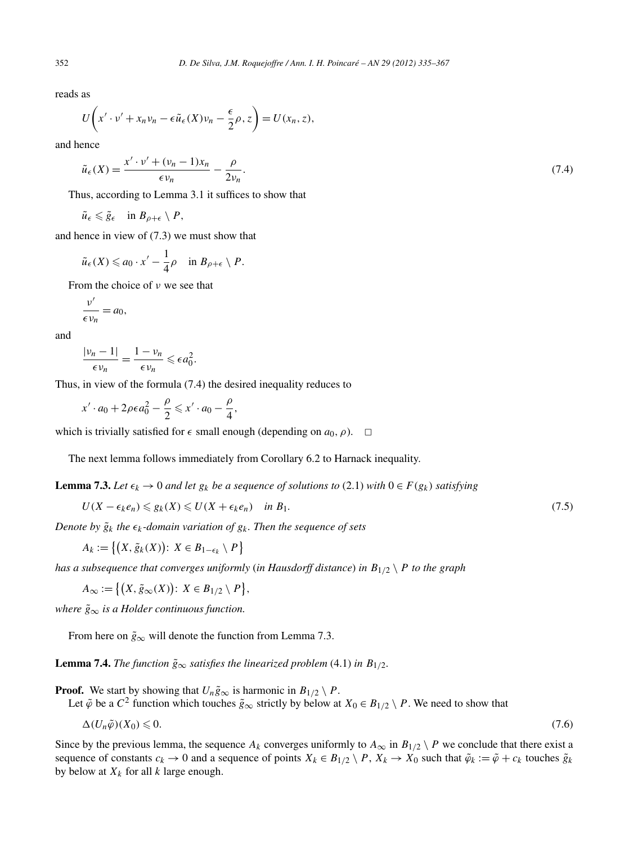reads as

352 *D. De Silva, J.M. Roquejoffre / Ann. I. H. Poincaré – AN 29 (2012) 335–367*  
reads as  

$$
U\left(x'\cdot v' + x_nv_n - \epsilon \tilde{u}_{\epsilon}(X)v_n - \frac{\epsilon}{2}\rho, z\right) = U(x_n, z),
$$

and hence

$$
\tilde{u}_{\epsilon}(X) = \frac{x' \cdot v' + (v_n - 1)x_n}{\epsilon v_n} - \frac{\rho}{2v_n}.\tag{7.4}
$$

Thus, according to Lemma 3.1 it suffices to show that

$$
\tilde{u}_{\epsilon} \leqslant \tilde{g}_{\epsilon} \quad \text{in } B_{\rho+\epsilon} \setminus P,
$$

and hence in view of (7.3) we must show that

$$
\tilde{u}_{\epsilon}(X) \leq a_0 \cdot x' - \frac{1}{4}\rho \quad \text{in } B_{\rho+\epsilon} \setminus P.
$$

From the choice of *ν* we see that

$$
\frac{\nu'}{\epsilon \nu_n} = a_0,
$$

and

$$
\frac{|v_n-1|}{\epsilon v_n} = \frac{1-v_n}{\epsilon v_n} \leqslant \epsilon a_0^2.
$$

Thus, in view of the formula (7.4) the desired inequality reduces to

$$
x' \cdot a_0 + 2\rho \epsilon a_0^2 - \frac{\rho}{2} \leq x' \cdot a_0 - \frac{\rho}{4},
$$

which is trivially satisfied for  $\epsilon$  small enough (depending on  $a_0$ ,  $\rho$ ).  $\Box$ 

The next lemma follows immediately from Corollary 6.2 to Harnack inequality.

**Lemma 7.3.** *Let*  $\epsilon_k \to 0$  *and let*  $g_k$  *be a sequence of solutions to* (2.1) *with*  $0 \in F(g_k)$  *satisfying* 

$$
U(X - \epsilon_k e_n) \leq g_k(X) \leq U(X + \epsilon_k e_n) \quad \text{in } B_1. \tag{7.5}
$$

*Denote by*  $\tilde{g}_k$  *the*  $\epsilon_k$ -domain variation of  $g_k$ . Then the sequence of sets

$$
U(X - \epsilon_k e_n) \leq g_k(X) \leq U(X + \epsilon_k e_n)
$$
  
we by  $\tilde{g}_k$  the  $\epsilon_k$ -domain variation of  $g_k$   

$$
A_k := \{(X, \tilde{g}_k(X)) : X \in B_{1-\epsilon_k} \setminus P\}
$$
  
subsequence that converges uniformly  

$$
A_{\infty} := \{(X, \tilde{g}_{\infty}(X)) : X \in B_{1/2} \setminus P\}
$$

*has a subsequence that converges uniformly* (*in Hausdorff distance*) *in B*1*/*<sup>2</sup> \ *P to the graph*

$$
A_{\infty} := \left\{ \left( X, \tilde{g}_{\infty}(X) \right) : X \in B_{1/2} \setminus P \right\},\
$$

*where*  $\tilde{g}_{\infty}$  *is a Holder continuous function.* 

From here on  $\tilde{g}_{\infty}$  will denote the function from Lemma 7.3.

**Lemma 7.4.** *The function*  $\tilde{g}_{\infty}$  *satisfies the linearized problem* (4.1) *in*  $B_{1/2}$ *.* 

**Proof.** We start by showing that  $U_n \tilde{g}_{\infty}$  is harmonic in  $B_{1/2} \setminus P$ .

Let  $\tilde{\varphi}$  be a  $C^2$  function which touches  $\tilde{g}_{\infty}$  strictly by below at  $X_0 \in B_{1/2} \setminus P$ . We need to show that

$$
\Delta(U_n\tilde{\varphi})(X_0) \leqslant 0. \tag{7.6}
$$

Since by the previous lemma, the sequence  $A_k$  converges uniformly to  $A_\infty$  in  $B_{1/2} \setminus P$  we conclude that there exist a sequence of constants  $c_k \to 0$  and a sequence of points  $X_k \in B_{1/2} \setminus P$ ,  $X_k \to X_0$  such that  $\tilde{\varphi}_k := \tilde{\varphi} + c_k$  touches  $\tilde{g}_k$ by below at  $X_k$  for all  $k$  large enough.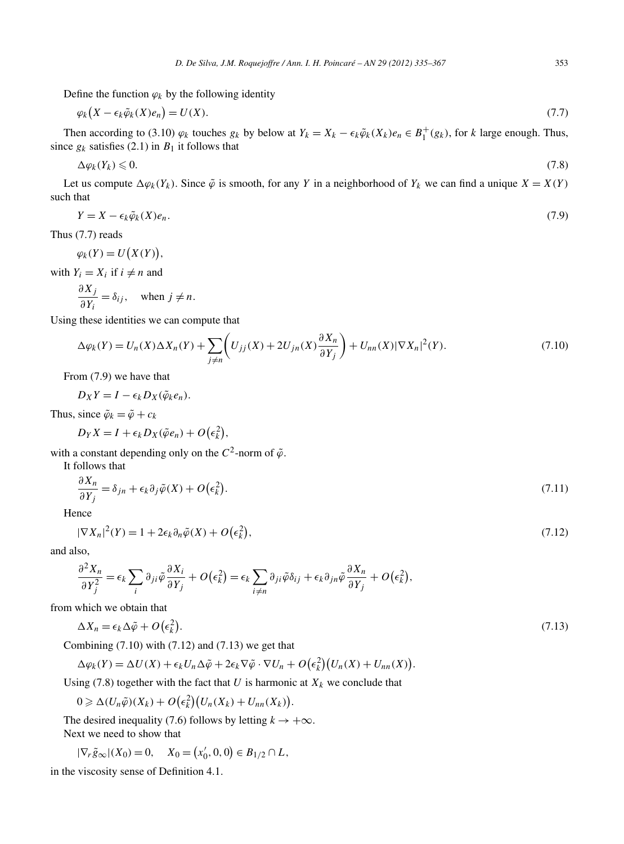Define the function  $\varphi_k$  by the following identity

$$
\varphi_k\big(X - \epsilon_k \tilde{\varphi}_k(X)e_n\big) = U(X). \tag{7.7}
$$

Then according to (3.10)  $\varphi_k$  touches  $g_k$  by below at  $Y_k = X_k - \epsilon_k \tilde{\varphi}_k(X_k) e_n \in B_1^+(g_k)$ , for *k* large enough. Thus, since  $g_k$  satisfies (2.1) in  $B_1$  it follows that

$$
\Delta \varphi_k(Y_k) \leqslant 0. \tag{7.8}
$$

Let us compute  $\Delta \varphi_k(Y_k)$ . Since  $\tilde{\varphi}$  is smooth, for any *Y* in a neighborhood of  $Y_k$  we can find a unique  $X = X(Y)$ such that

$$
Y = X - \epsilon_k \tilde{\varphi}_k(X) e_n.
$$
  
(7.7) reads  

$$
\varphi_k(Y) = U(X(Y)),
$$

Thus (7.7) reads

*,*

with  $Y_i = X_i$  if  $i \neq n$  and

$$
\frac{\partial X_j}{\partial Y_i} = \delta_{ij}, \quad \text{when } j \neq n.
$$

Using these identities we can compute that

$$
\frac{\partial X_j}{\partial Y_i} = \delta_{ij}, \text{ when } j \neq n.
$$
\n
$$
\text{g these identities we can compute that}
$$
\n
$$
\Delta \varphi_k(Y) = U_n(X) \Delta X_n(Y) + \sum_{j \neq n} \left( U_{jj}(X) + 2U_{jn}(X) \frac{\partial X_n}{\partial Y_j} \right) + U_{nn}(X) |\nabla X_n|^2(Y). \tag{7.10}
$$

From (7.9) we have that

$$
D_X Y = I - \epsilon_k D_X(\tilde{\varphi}_k e_n).
$$

Thus, since  $\tilde{\varphi}_k = \tilde{\varphi} + c_k$ 

$$
D_X Y = I - \epsilon_k D_X(\tilde{\varphi}_k e_n).
$$
  
since  $\tilde{\varphi}_k = \tilde{\varphi} + c_k$   

$$
D_Y X = I + \epsilon_k D_X(\tilde{\varphi} e_n) + O(\epsilon_k^2),
$$

with a constant depending only on the  $C^2$ -norm of  $\tilde{\varphi}$ .

It follows that

$$
D_{Y}X = I + \epsilon_{k}D_{X}(\varphi e_{n}) + O(\epsilon_{k}),
$$
  
constant depending only on the  $C^{2}$ -norm of  $\tilde{\varphi}$ .  
allows that  

$$
\frac{\partial X_{n}}{\partial Y_{j}} = \delta_{jn} + \epsilon_{k}\partial_{j}\tilde{\varphi}(X) + O(\epsilon_{k}^{2}).
$$
  
once  

$$
|\nabla X_{n}|^{2}(Y) = 1 + 2\epsilon_{k}\partial_{n}\tilde{\varphi}(X) + O(\epsilon_{k}^{2}),
$$
 (7.12)

Hence

$$
|\nabla X_n|^2(Y) = 1 + 2\epsilon_k \partial_n \tilde{\varphi}(X) + O(\epsilon_k^2),\tag{7.12}
$$

and also,

$$
|\nabla X_n|^2(Y) = 1 + 2\epsilon_k \partial_n \tilde{\varphi}(X) + O(\epsilon_k^2),
$$
  
so,  

$$
\frac{\partial^2 X_n}{\partial Y_j^2} = \epsilon_k \sum_i \partial_{ji} \tilde{\varphi} \frac{\partial X_i}{\partial Y_j} + O(\epsilon_k^2) = \epsilon_k \sum_{i \neq n} \partial_{ji} \tilde{\varphi} \delta_{ij} + \epsilon_k \partial_{jn} \tilde{\varphi} \frac{\partial X_n}{\partial Y_j} + O(\epsilon_k^2),
$$
  
which we obtain that  

$$
\Delta X_n = \epsilon_k \Delta \tilde{\varphi} + O(\epsilon_k^2).
$$

from which we obtain that

$$
\Delta X_n = \epsilon_k \Delta \tilde{\varphi} + O(\epsilon_k^2).
$$
  
Combining (7.10) with (7.12) and (7.13) we get that  

$$
\Delta \varphi_k(Y) = \Delta U(X) + \epsilon_k U_n \Delta \tilde{\varphi} + 2\epsilon_k \nabla \tilde{\varphi} \cdot \nabla U_n + O(\epsilon_k^2) (U_n(X) + U_{nn}(X)).
$$
 (7.13)

Combining  $(7.10)$  with  $(7.12)$  and  $(7.13)$  we get that  $\int$  and  $(1.13)$  we get that

$$
\Delta \varphi_k(Y) = \Delta U(X) + \epsilon_k U_n \Delta \tilde{\varphi} + 2\epsilon_k \nabla \tilde{\varphi} \cdot \nabla U_n + O(\epsilon_k^2) (U_n(X) + U_{nn}(X)).
$$
  
ing (7.8) together with the fact that *U* is harmonic at *X\_k* we conclude that  

$$
0 \ge \Delta(U_n \tilde{\varphi})(X_k) + O(\epsilon_k^2) (U_n(X_k) + U_{nn}(X_k)).
$$

Using (7.8) together with the fact that  $U$  is harmonic at  $X_k$  we conclude that

The desired inequality (7.6) follows by letting  $k \to +\infty$ . Next we need to show that  $0 \ge \Delta(U_n\tilde{\varphi})(X_k) + O(\epsilon_k^2)$ <br>e desired inequality (7.6) for<br>xt we need to show that<br> $|\nabla_r \tilde{g}_{\infty}|(X_0) = 0, \quad X_0 = ($ 

$$
|\nabla_r \tilde{g}_{\infty}|(X_0) = 0, \quad X_0 = (x'_0, 0, 0) \in B_{1/2} \cap L,
$$

in the viscosity sense of Definition 4.1.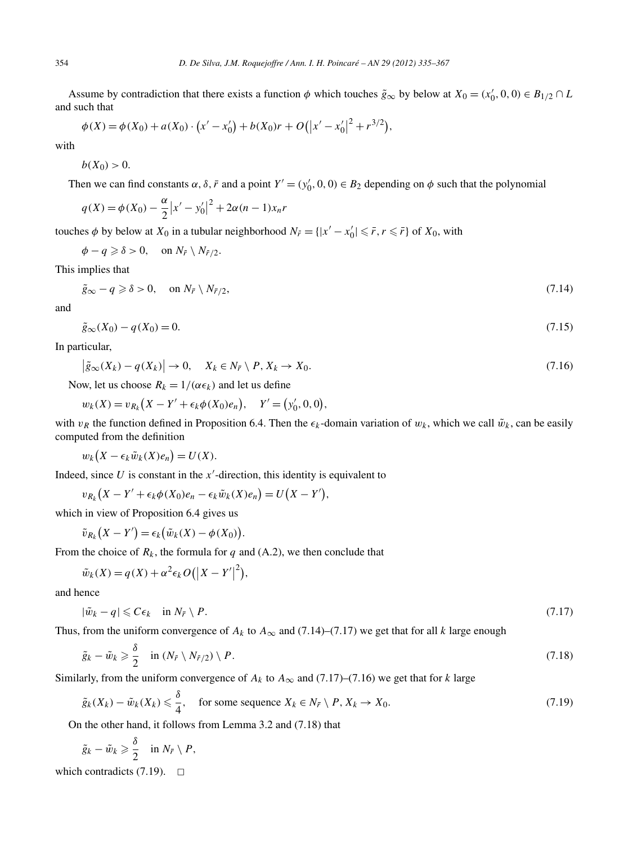Assume by contradiction that there exists a function  $\phi$  which touches  $\tilde{g}_{\infty}$  by below at  $X_0 = (x'_0, 0, 0) \in B_{1/2} \cap L$ and such that ists a function  $\phi$  which touches  $\tilde{g}_s$ <br>+  $b(X_0)r + O(|x'-x'_0|^2 + r^{3/2})$ 

$$
\phi(X) = \phi(X_0) + a(X_0) \cdot (x' - x'_0) + b(X_0)r + O(|x' - x'_0|^2 + r^{3/2}),
$$

with

 $b(X_0) > 0$ .

Then we can find constants  $\alpha$ ,  $\delta$ ,  $\bar{r}$  and a point  $Y' = (y'_0, 0, 0) \in B_2$  depending on  $\phi$  such that the polynomial

$$
q(X) = \phi(X_0) - \frac{\alpha}{2}|x' - y'_0|^2 + 2\alpha(n - 1)x_n r
$$

touches  $\phi$  by below at  $X_0$  in a tubular neighborhood  $N_{\bar{r}} = \{ |x' - x'_0| \leq \bar{r}, r \leq \bar{r} \}$  of  $X_0$ , with

$$
\phi - q \geqslant \delta > 0, \quad \text{on } N_{\overline{r}} \setminus N_{\overline{r}/2}.
$$

This implies that

$$
\tilde{g}_{\infty} - q \geq \delta > 0, \quad \text{on } N_{\bar{r}} \setminus N_{\bar{r}/2},\tag{7.14}
$$

and

$$
\tilde{g}_{\infty}(X_0) - q(X_0) = 0. \tag{7.15}
$$

In particular,

$$
|\tilde{g}_{\infty}(X_k) - q(X_k)| \to 0, \quad X_k \in N_{\tilde{r}} \setminus P, X_k \to X_0.
$$
  
\n(7.16)  
\n
$$
w_k(x) = v_{R_k}(X - Y' + \epsilon_k \phi(X_0)e_n), \quad Y' = (y'_0, 0, 0),
$$

Now, let us choose  $R_k = 1/(\alpha \epsilon_k)$  and let us define

$$
w_k(X) = v_{R_k}(X - Y' + \epsilon_k \phi(X_0)e_n), \quad Y' = (y'_0, 0, 0),
$$

with  $v_R$  the function defined in Proposition 6.4. Then the  $\epsilon_k$ -domain variation of  $w_k$ , which we call  $\tilde{w}_k$ , can be easily computed from the definition 

$$
w_k(X - \epsilon_k \tilde{w}_k(X)e_n) = U(X).
$$

Indeed, since  $U$  is constant in the  $x'$ -direction, this identity is equivalent to ни становите на селото на селото на селото на селото на селото на селото на селото на селото на селото на село<br>Селото на селото на селото на селото на селото на селото на селото на селото на селото на селото на селото на

$$
w_k(X - \epsilon_k \tilde{w}_k(X)e_n) = U(X).
$$
  
d, since U is constant in the x'-direction, this identity is  

$$
v_{R_k}(X - Y' + \epsilon_k \phi(X_0)e_n - \epsilon_k \tilde{w}_k(X)e_n) = U(X - Y'),
$$

which in view of Proposition 6.4 gives us

$$
\tilde{v}_{R_k}(X - Y') = \epsilon_k \big(\tilde{w}_k(X) - \phi(X_0)\big).
$$
  
the choice of  $R_k$ , the formula for q a

From the choice of  $R_k$ , the formula for  $q$  and  $(A.2)$ , we then conclude that

$$
\tilde{v}_{R_k}(X - Y') = \epsilon_k (\tilde{w}_k(X) - \phi(X_0)).
$$
  
the choice of  $R_k$ , the formula for q and  

$$
\tilde{w}_k(X) = q(X) + \alpha^2 \epsilon_k O(|X - Y'|^2),
$$

and hence

$$
|\tilde{w}_k - q| \leqslant C\epsilon_k \quad \text{in } N_{\bar{r}} \setminus P. \tag{7.17}
$$

Thus, from the uniform convergence of  $A_k$  to  $A_\infty$  and (7.14)–(7.17) we get that for all *k* large enough

$$
\tilde{g}_k - \tilde{w}_k \ge \frac{\delta}{2} \quad \text{in } (N_{\bar{r}} \setminus N_{\bar{r}/2}) \setminus P. \tag{7.18}
$$

Similarly, from the uniform convergence of  $A_k$  to  $A_\infty$  and (7.17)–(7.16) we get that for *k* large

$$
\tilde{g}_k(X_k) - \tilde{w}_k(X_k) \le \frac{\delta}{4}, \quad \text{for some sequence } X_k \in N_{\bar{r}} \setminus P, X_k \to X_0. \tag{7.19}
$$

On the other hand, it follows from Lemma 3.2 and (7.18) that

$$
\tilde{g}_k - \tilde{w}_k \geq \frac{\delta}{2} \quad \text{in } N_{\bar{r}} \setminus P,
$$

which contradicts  $(7.19)$ .  $\Box$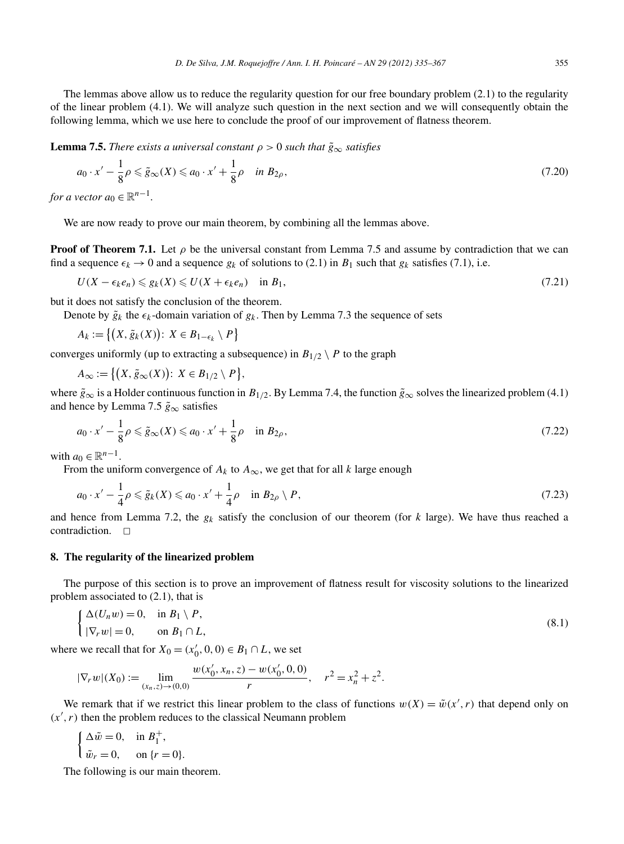**Lemma 7.5.** *There exists a universal constant*  $\rho > 0$  *such that*  $\tilde{g}_{\infty}$  *satisfies* 

$$
a_0 \cdot x' - \frac{1}{8} \rho \le \tilde{g}_{\infty}(X) \le a_0 \cdot x' + \frac{1}{8} \rho \quad \text{in } B_{2\rho},\tag{7.20}
$$

*for a vector*  $a_0 \in \mathbb{R}^{n-1}$ .

We are now ready to prove our main theorem, by combining all the lemmas above.

**Proof of Theorem 7.1.** Let  $\rho$  be the universal constant from Lemma 7.5 and assume by contradiction that we can find a sequence  $\epsilon_k \to 0$  and a sequence  $g_k$  of solutions to (2.1) in  $B_1$  such that  $g_k$  satisfies (7.1), i.e.

$$
U(X - \epsilon_k e_n) \leq g_k(X) \leq U(X + \epsilon_k e_n) \quad \text{in } B_1,\tag{7.21}
$$

but it does not satisfy the conclusion of the theorem.

Denote by  $\tilde{g}_k$  the  $\epsilon_k$ -domain variation of  $g_k$ . Then by Lemma 7.3 the sequence of sets j.

$$
U(X - \epsilon_k e_n) \leq g_k(X) \leq U(X + \epsilon_k e_n)
$$
  
does not satisfy the conclusion of the  
note by  $\tilde{g}_k$  the  $\epsilon_k$ -domain variation of  
 $A_k := \{(X, \tilde{g}_k(X)) : X \in B_{1-\epsilon_k} \setminus P\}$   
erges uniformly (up to extracting a su  
 $A_\infty := \{(X, \tilde{g}_\infty(X)) : X \in B_{1/2} \setminus P\}$ 

converges uniformly (up to extracting a subsequence) in  $B_{1/2} \setminus P$  to the graph

$$
A_{\infty} := \left\{ (X, \tilde{g}_{\infty}(X)) : X \in B_{1/2} \setminus P \right\},\
$$

where  $\tilde{g}_{\infty}$  is a Holder continuous function in  $B_{1/2}$ . By Lemma 7.4, the function  $\tilde{g}_{\infty}$  solves the linearized problem (4.1) and hence by Lemma 7.5  $\tilde{g}_{\infty}$  satisfies

$$
a_0 \cdot x' - \frac{1}{8}\rho \le \tilde{g}_{\infty}(X) \le a_0 \cdot x' + \frac{1}{8}\rho \quad \text{in } B_{2\rho},\tag{7.22}
$$

with  $a_0 \in \mathbb{R}^{n-1}$ .

From the uniform convergence of  $A_k$  to  $A_\infty$ , we get that for all *k* large enough

$$
a_0 \cdot x' - \frac{1}{4} \rho \leq \tilde{g}_k(X) \leq a_0 \cdot x' + \frac{1}{4} \rho \quad \text{in } B_{2\rho} \setminus P,
$$
\n
$$
(7.23)
$$

and hence from Lemma 7.2, the *gk* satisfy the conclusion of our theorem (for *k* large). We have thus reached a contradiction.  $\Box$ 

## **8. The regularity of the linearized problem**

The purpose of this section is to prove an improvement of flatness result for viscosity solutions to the linearized problem associated to (2.1), that is

$$
\begin{cases} \Delta(U_n w) = 0, & \text{in } B_1 \setminus P, \\ |\nabla_r w| = 0, & \text{on } B_1 \cap L, \end{cases}
$$
\n(8.1)

where we recall that for  $X_0 = (x'_0, 0, 0) \in B_1 \cap L$ , we set

$$
|\nabla_r w|(X_0) := \lim_{(x_n, z) \to (0, 0)} \frac{w(x'_0, x_n, z) - w(x'_0, 0, 0)}{r}, \quad r^2 = x_n^2 + z^2.
$$

We remark that if we restrict this linear problem to the class of functions  $w(X) = \tilde{w}(x', r)$  that depend only on  $(x', r)$  then the problem reduces to the classical Neumann problem

$$
\begin{cases} \Delta \tilde{w} = 0, & \text{in } B_1^+, \\ \tilde{w}_r = 0, & \text{on } \{r = 0\}. \end{cases}
$$

The following is our main theorem.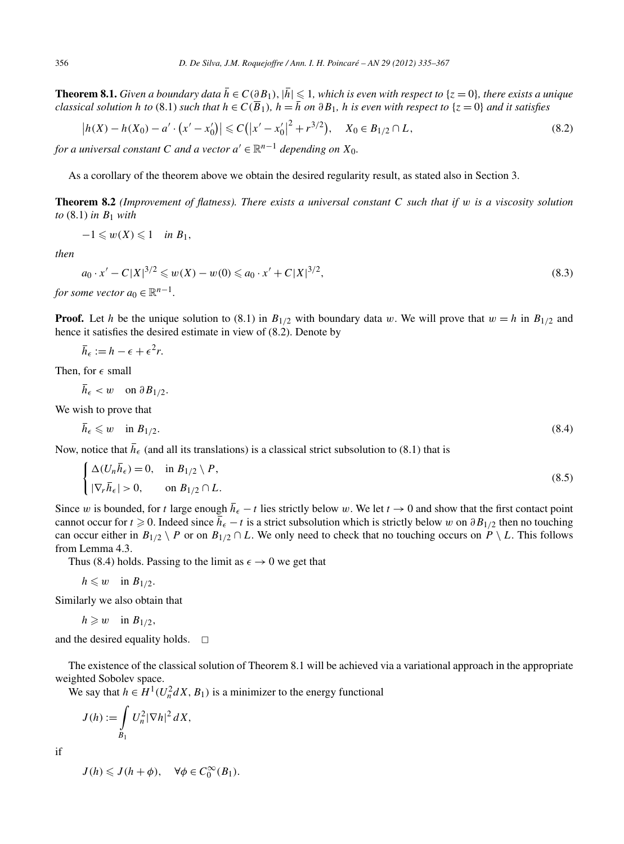**Theorem 8.1.** *Given a boundary data*  $\overline{h}$  ∈ *C*(∂*B*<sub>1</sub>),  $|\overline{h}|$  ≤ 1*, which is even with respect to* {*z* = 0}*, there exists a unique classical solution h to* (8.1) *such that*  $h$  ∈ *C*( $\overline{B}$ <sub>1</sub>),  $h = \overline$ classical solution h to (8.1) such that  $h \in C(\overline{B}_1)$ ,  $h = \overline{h}$  on  $\partial B_1$ , h is even with respect to  $\{z = 0\}$  and it satisfies

$$
\left| h(X) - h(X_0) - a' \cdot \left( x' - x'_0 \right) \right| \leqslant C \left( \left| x' - x'_0 \right|^2 + r^{3/2} \right), \quad X_0 \in B_{1/2} \cap L,
$$
\n
$$
(8.2)
$$

*for a universal constant C and a vector*  $a' \in \mathbb{R}^{n-1}$  *depending on*  $X_0$ *.* 

As a corollary of the theorem above we obtain the desired regularity result, as stated also in Section 3.

**Theorem 8.2** *(Improvement of flatness). There exists a universal constant C such that if w is a viscosity solution to* (8.1) *in B*<sup>1</sup> *with*

$$
-1 \leqslant w(X) \leqslant 1 \quad \text{in } B_1,
$$

*then*

$$
a_0 \cdot x' - C|X|^{3/2} \leq w(X) - w(0) \leq a_0 \cdot x' + C|X|^{3/2},
$$
\n10.20.20.20.33

*for some vector*  $a_0 \in \mathbb{R}^n$ 

**Proof.** Let *h* be the unique solution to (8.1) in  $B_{1/2}$  with boundary data *w*. We will prove that  $w = h$  in  $B_{1/2}$  and hence it satisfies the desired estimate in view of (8.2). Denote by

$$
\bar{h}_{\epsilon} := h - \epsilon + \epsilon^2 r.
$$

Then, for  $\epsilon$  small

$$
h_{\epsilon} < w \quad \text{on } \partial B_{1/2}.
$$

We wish to prove that

$$
\bar{h}_{\epsilon} \leqslant w \quad \text{in } B_{1/2}.\tag{8.4}
$$

Now, notice that  $\bar{h}_{\epsilon}$  (and all its translations) is a classical strict subsolution to (8.1) that is

$$
\begin{cases} \Delta(U_n \overline{h}_{\epsilon}) = 0, & \text{in } B_{1/2} \setminus P, \\ |\nabla_r \overline{h}_{\epsilon}| > 0, & \text{on } B_{1/2} \cap L. \end{cases}
$$
 (8.5)

Since *w* is bounded, for *t* large enough  $\bar{h}_{\epsilon} - t$  lies strictly below *w*. We let  $t \to 0$  and show that the first contact point cannot occur for  $t \ge 0$ . Indeed since  $\bar{h}_{\epsilon} - t$  is a strict subsolution which is strictly below w on  $\partial B_{1/2}$  then no touching can occur either in  $B_{1/2} \setminus P$  or on  $B_{1/2} \cap L$ . We only need to check that no touching occurs on  $P \setminus L$ . This follows from Lemma 4.3.

Thus (8.4) holds. Passing to the limit as  $\epsilon \to 0$  we get that

$$
h\leqslant w\quad\text{in }B_{1/2}.
$$

Similarly we also obtain that

$$
h \geqslant w \quad \text{in } B_{1/2},
$$

and the desired equality holds.  $\Box$ 

The existence of the classical solution of Theorem 8.1 will be achieved via a variational approach in the appropriate weighted Sobolev space. *J* (*h*) is existence ted Sobole<br>*z* say that *l* 

We say that  $h \in H^1(U_n^2 dX, B_1)$  is a minimizer to the energy functional

$$
J(h) := \int\limits_{B_1} U_n^2 |\nabla h|^2 dX,
$$

if

 $J(h) \leqslant J(h + \phi), \quad \forall \phi \in C_0^{\infty}(B_1).$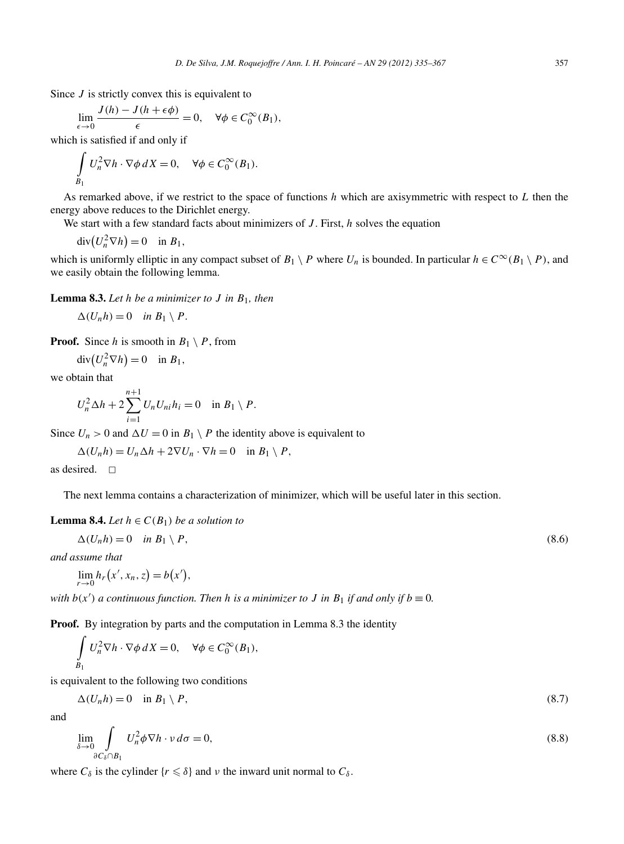Since *J* is strictly convex this is equivalent to

$$
\lim_{\epsilon \to 0} \frac{J(h) - J(h + \epsilon \phi)}{\epsilon} = 0, \quad \forall \phi \in C_0^{\infty}(B_1),
$$

which is satisfied if and only if

$$
\int_{B_1} U_n^2 \nabla h \cdot \nabla \phi \, dX = 0, \quad \forall \phi \in C_0^{\infty}(B_1).
$$

As remarked above, if we restrict to the space of functions *h* which are axisymmetric with respect to *L* then the regy above reduces to the Dirichlet energy.<br>We start with a few standard facts about minimizers of *J*. F energy above reduces to the Dirichlet energy.

We start with a few standard facts about minimizers of *J*. First, *h* solves the equation

$$
\operatorname{div}(U_n^2 \nabla h) = 0 \quad \text{in } B_1,
$$

which is uniformly elliptic in any compact subset of  $B_1 \setminus P$  where  $U_n$  is bounded. In particular  $h \in C^\infty(B_1 \setminus P)$ , and we easily obtain the following lemma.

**Lemma 8.3.** *Let h be a minimizer to J in B*1*, then*

 $\Delta(U_n h) = 0$  *in*  $B_1 \setminus P$ .

**Proof.** Since *h* is smooth in  $B_1 \setminus P$ , from

$$
\Delta(U_n h) = 0 \quad \text{in } B_1 \setminus P
$$
\nf. Since *h* is smooth in *B*

\n
$$
\text{div}(U_n^2 \nabla h) = 0 \quad \text{in } B_1,
$$

we obtain that

$$
U_n^2 \Delta h + 2 \sum_{i=1}^{n+1} U_n U_{ni} h_i = 0 \quad \text{in } B_1 \setminus P.
$$

Since  $U_n > 0$  and  $\Delta U = 0$  in  $B_1 \setminus P$  the identity above is equivalent to

 $\Delta(U_n h) = U_n \Delta h + 2 \nabla U_n \cdot \nabla h = 0$  in  $B_1 \setminus P$ ,

as desired.  $\square$ 

The next lemma contains a characterization of minimizer, which will be useful later in this section.

**Lemma 8.4.** *Let*  $h \in C(B_1)$  *be a solution to* 

$$
\Delta(U_n h) = 0 \quad \text{in } B_1 \setminus P,\tag{8.6}
$$

*and assume that*

$$
\begin{aligned} \mathbf{a} & \mathbf{a} \cdot \mathbf{a} \cdot \mathbf{b} \cdot \mathbf{b} \cdot \mathbf{c} \cdot (\mathbf{b}_1) \cdot \mathbf{b} \cdot \mathbf{c} \\ \Delta(U_n h) &= 0 \quad \text{in } B_1 \setminus P, \\ \text{ssume that} \\ \lim_{r \to 0} h_r(x', x_n, z) &= b(x'), \end{aligned}
$$

*with*  $b(x')$  *a continuous function. Then h is a minimizer to J in*  $B_1$  *if and only if*  $b \equiv 0$ *.* 

**Proof.** By integration by parts and the computation in Lemma 8.3 the identity

$$
\int_{B_1} U_n^2 \nabla h \cdot \nabla \phi \, dX = 0, \quad \forall \phi \in C_0^{\infty}(B_1),
$$

is equivalent to the following two conditions

$$
\Delta(U_n h) = 0 \quad \text{in } B_1 \setminus P,\tag{8.7}
$$

and

$$
\lim_{\delta \to 0} \int_{\partial C_{\delta} \cap B_1} U_n^2 \phi \nabla h \cdot \nu \, d\sigma = 0,
$$
\n(8.8)

where  $C_\delta$  is the cylinder  $\{r \leq \delta\}$  and  $\nu$  the inward unit normal to  $C_\delta$ .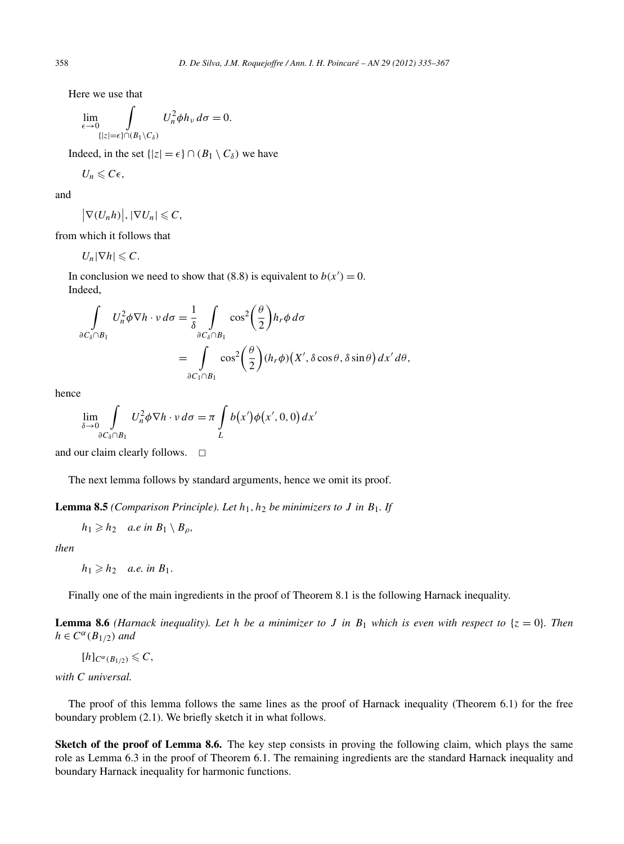Here we use that

$$
\lim_{\epsilon \to 0} \int_{\{|z|=\epsilon\} \cap (B_1 \setminus C_\delta)} U_n^2 \phi h_\nu \, d\sigma = 0.
$$

Indeed, in the set  $\{|z| = \epsilon\} \cap (B_1 \setminus C_\delta)$  we have

$$
U_n\leqslant C\epsilon,
$$

and

$$
U_n \leqslant C\epsilon,
$$
  

$$
|\nabla(U_n h)|, |\nabla U_n| \leqslant C,
$$

from which it follows that

 $U_n|\nabla h| \leqslant C.$ 

In conclusion we need to show that (8.8) is equivalent to  $b(x') = 0$ . Indeed,

$$
\int_{\partial C_{\delta} \cap B_1} U_n^2 \phi \nabla h \cdot v \, d\sigma = \frac{1}{\delta} \int_{\partial C_{\delta} \cap B_1} \cos^2 \left(\frac{\theta}{2}\right) h_r \phi \, d\sigma
$$
\n
$$
= \int_{\partial C_1 \cap B_1} \cos^2 \left(\frac{\theta}{2}\right) (h_r \phi) \left(X', \delta \cos \theta, \delta \sin \theta\right) dx' \, d\theta,
$$

hence

$$
\lim_{\delta \to 0} \int\limits_{\partial C_{\delta} \cap B_1} U_n^2 \phi \nabla h \cdot v \, d\sigma = \pi \int\limits_L b(x') \phi(x', 0, 0) \, dx'
$$

and our claim clearly follows.  $\Box$ 

The next lemma follows by standard arguments, hence we omit its proof.

**Lemma 8.5** *(Comparison Principle). Let*  $h_1, h_2$  *be minimizers to J in*  $B_1$ *. If* 

$$
h_1 \geqslant h_2 \quad a.e \text{ in } B_1 \setminus B_\rho,
$$

*then*

 $h_1 \geqslant h_2$  *a.e. in*  $B_1$ *.* 

Finally one of the main ingredients in the proof of Theorem 8.1 is the following Harnack inequality.

**Lemma 8.6** *(Harnack inequality). Let h be a minimizer to J in*  $B_1$  *which is even with respect to*  $\{z = 0\}$ *. Then*  $h \in C^{\alpha}(B_{1/2})$  *and* 

 $[h]_{C^{\alpha}(B_{1/2})} \leq C$ ,

*with C universal.*

The proof of this lemma follows the same lines as the proof of Harnack inequality (Theorem 6.1) for the free boundary problem (2.1). We briefly sketch it in what follows.

**Sketch of the proof of Lemma 8.6.** The key step consists in proving the following claim, which plays the same role as Lemma 6.3 in the proof of Theorem 6.1. The remaining ingredients are the standard Harnack inequality and boundary Harnack inequality for harmonic functions.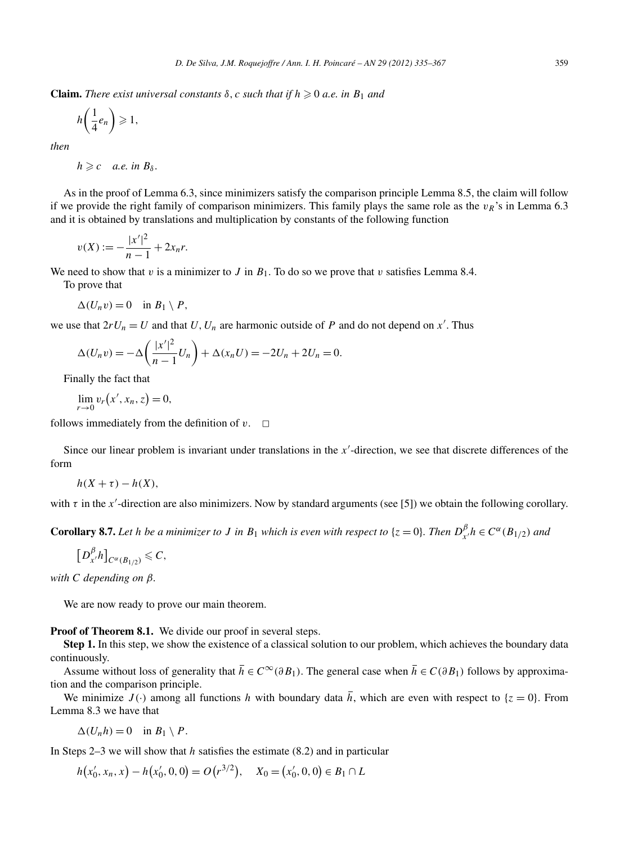**Claim.** *There exist universal constants*  $\delta$ ,  $c$  *such that if*  $h \geq 0$  *a.e. in*  $B_1$  *and* 

$$
h\bigg(\frac{1}{4}e_n\bigg)\geqslant 1,
$$

*then*

 $h \geqslant c$  *a.e.* in  $B_\delta$ .

As in the proof of Lemma 6.3, since minimizers satisfy the comparison principle Lemma 8.5, the claim will follow if we provide the right family of comparison minimizers. This family plays the same role as the  $v_R$ 's in Lemma 6.3 and it is obtained by translations and multiplication by constants of the following function

$$
v(X) := -\frac{|x'|^2}{n-1} + 2x_n r.
$$

We need to show that *v* is a minimizer to *J* in  $B_1$ . To do so we prove that *v* satisfies Lemma 8.4.

To prove that

$$
\Delta(U_n v) = 0 \quad \text{in } B_1 \setminus P,
$$

we use that  $2rU_n = U$  and that  $U, U_n$  are harmonic outside of  $P$  and do not depend on  $x'$ . Thus

$$
\Delta(U_n v) = -\Delta\left(\frac{|x'|^2}{n-1}U_n\right) + \Delta(x_n U) = -2U_n + 2U_n = 0.
$$
  
ally the fact that  

$$
\lim_{n \to \infty} v_r(x', x_n, z) = 0,
$$

Finally the fact that

$$
\lim_{r \to 0} v_r(x', x_n, z) = 0,
$$

follows immediately from the definition of  $v$ .  $\Box$ 

Since our linear problem is invariant under translations in the  $x'$ -direction, we see that discrete differences of the form

 $h(X + \tau) - h(X)$ ,

with  $\tau$  in the *x*'-direction are also minimizers. Now by standard arguments (see [5]) we obtain the following corollary.

**Corollary 8.7.** Let h be a minimizer to J in  $B_1$  which is even with respect to  $\{z=0\}$ . Then  $D_{x'}^{\beta}h \in C^{\alpha}(B_{1/2})$  and

$$
\left[D_{x'}^{\beta}h\right]_{C^{\alpha}(B_{1/2})}\leqslant C,
$$

*with C depending on β.*

We are now ready to prove our main theorem.

**Proof of Theorem 8.1.** We divide our proof in several steps.

**Step 1.** In this step, we show the existence of a classical solution to our problem, which achieves the boundary data continuously.

Assume without loss of generality that  $\bar{h} \in C^{\infty}(\partial B_1)$ . The general case when  $\bar{h} \in C(\partial B_1)$  follows by approximation and the comparison principle.

We minimize  $J(\cdot)$  among all functions *h* with boundary data  $\bar{h}$ , which are even with respect to {*z* = 0}. From Lemma 8.3 we have that

$$
\Delta(U_n h) = 0 \quad \text{in } B_1 \setminus P.
$$

In Steps 2–3 we will show that *h* satisfies the estimate (8.2) and in particular

$$
\Delta(U_n h) = 0 \quad \text{in } B_1 \setminus P.
$$
  
eps 2–3 we will show that *h* satisfies the estimate (8.2) and in partic  

$$
h(x'_0, x_n, x) - h(x'_0, 0, 0) = O(r^{3/2}), \quad X_0 = (x'_0, 0, 0) \in B_1 \cap L
$$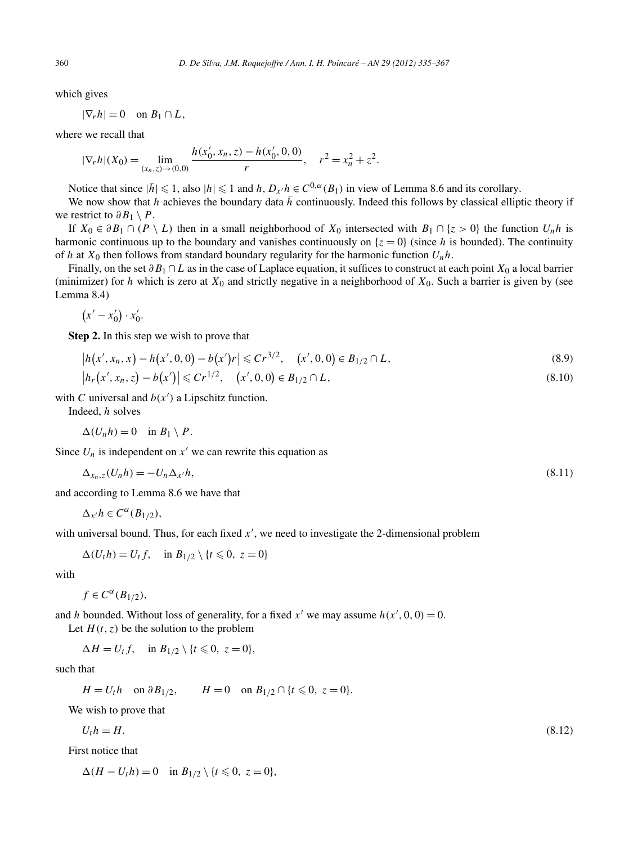which gives

 $|\nabla_r h| = 0$  on  $B_1 \cap L$ ,

where we recall that

$$
|\nabla_r h|(X_0) = \lim_{(x_n, z) \to (0, 0)} \frac{h(x'_0, x_n, z) - h(x'_0, 0, 0)}{r}, \quad r^2 = x_n^2 + z^2.
$$

Notice that since  $|\bar{h}| \leq 1$ , also  $|h| \leq 1$  and  $h, D_{x}/h \in C^{0,\alpha}(B_1)$  in view of Lemma 8.6 and its corollary.

We now show that *h* achieves the boundary data  $\bar{h}$  continuously. Indeed this follows by classical elliptic theory if we restrict to  $\partial B_1 \setminus P$ .

If  $X_0 \in \partial B_1 \cap (P \setminus L)$  then in a small neighborhood of  $X_0$  intersected with  $B_1 \cap \{z > 0\}$  the function  $U_n h$  is harmonic continuous up to the boundary and vanishes continuously on  $\{z = 0\}$  (since *h* is bounded). The continuity of *h* at  $X_0$  then follows from standard boundary regularity for the harmonic function  $U_n h$ .

Finally, on the set *∂B*<sup>1</sup> ∩*L* as in the case of Laplace equation, it suffices to construct at each point *X*<sup>0</sup> a local barrier (minimizer) for *h* which is zero at *X*<sup>0</sup> and strictly negative in a neighborhood of *X*0. Such a barrier is given by (see Lemma 8.4)

$$
(x'-x'_0)\cdot x'_0.
$$

**Step 2.** In this step we wish to prove that

$$
(x'-x'_0) \cdot x'_0.
$$
  
\n**ep 2.** In this step we wish to prove that  
\n
$$
|h(x', x_n, x) - h(x', 0, 0) - b(x')r| \le Cr^{3/2}, \quad (x', 0, 0) \in B_{1/2} \cap L,
$$
\n
$$
|h_r(x', x_n, z) - b(x')| \le Cr^{1/2}, \quad (x', 0, 0) \in B_{1/2} \cap L,
$$
\n(8.9)

$$
|h_r(x',x_n,z) - b(x')| \leq C r^{1/2}, \quad (x',0,0) \in B_{1/2} \cap L,\tag{8.10}
$$

with *C* universal and  $b(x')$  a Lipschitz function.

Indeed, *h* solves

$$
\Delta(U_n h) = 0 \quad \text{in } B_1 \setminus P.
$$

Since  $U_n$  is independent on  $x'$  we can rewrite this equation as

$$
\Delta_{x_n,z}(U_n h) = -U_n \Delta_{x'} h,\tag{8.11}
$$

and according to Lemma 8.6 we have that

$$
\Delta_{x'}h \in C^{\alpha}(B_{1/2}),
$$

with universal bound. Thus, for each fixed x', we need to investigate the 2-dimensional problem

$$
\Delta(U_t h) = U_t f, \quad \text{in } B_{1/2} \setminus \{t \leq 0, \ z = 0\}
$$

with

$$
f\in C^{\alpha}(B_{1/2}),
$$

and *h* bounded. Without loss of generality, for a fixed  $x'$  we may assume  $h(x', 0, 0) = 0$ .

Let  $H(t, z)$  be the solution to the problem

$$
\Delta H = U_t f, \quad \text{in } B_{1/2} \setminus \{t \leq 0, \ z = 0\},
$$

such that

$$
H = U_t h
$$
 on  $\partial B_{1/2}$ ,  $H = 0$  on  $B_{1/2} \cap \{t \le 0, z = 0\}$ .

We wish to prove that

$$
U_t h = H. \tag{8.12}
$$

First notice that

$$
\Delta(H - U_t h) = 0 \quad \text{in } B_{1/2} \setminus \{t \leq 0, \ z = 0\},
$$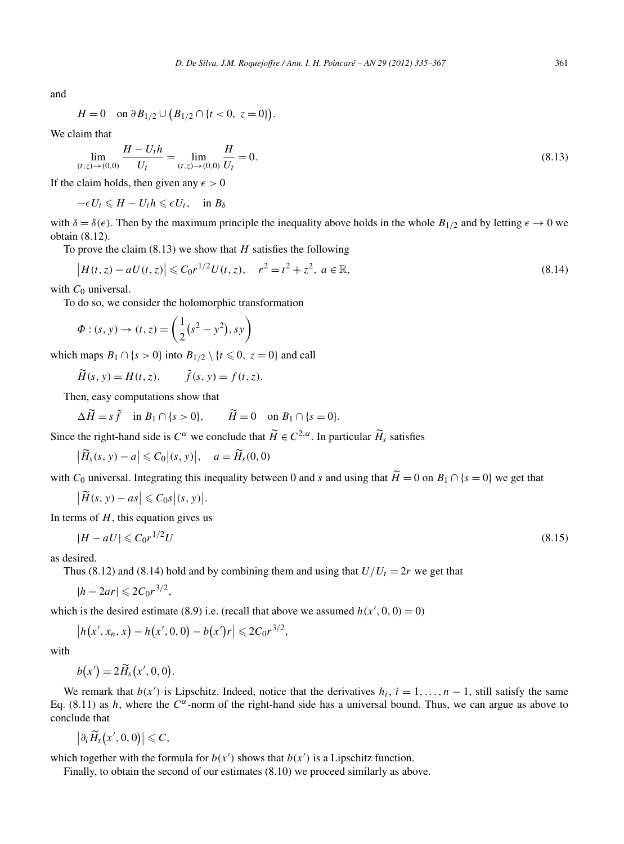and

$$
D. De Silva, J.M. Roquejoffi
$$
  

$$
H = 0 \quad \text{on } \partial B_{1/2} \cup (B_{1/2} \cap \{t < 0, \ z = 0\}).
$$

We claim that

$$
\lim_{(t,z)\to(0,0)}\frac{H-U_th}{U_t} = \lim_{(t,z)\to(0,0)}\frac{H}{U_t} = 0.
$$
\n(8.13)

If the claim holds, then given any  $\epsilon > 0$ 

 $-\epsilon U_t \leq H - U_t h \leq \epsilon U_t$ , in  $B_\delta$ 

with  $\delta = \delta(\epsilon)$ . Then by the maximum principle the inequality above holds in the whole  $B_{1/2}$  and by letting  $\epsilon \to 0$  we obtain (8.12).<br>To prove the claim (8.13) we show that *H* satisfies the following  $|H(t, z) - aU(t, z)| \le$ obtain (8.12).

To prove the claim (8.13) we show that *H* satisfies the following

$$
\left|H(t,z) - aU(t,z)\right| \leq C_0 r^{1/2} U(t,z), \quad r^2 = t^2 + z^2, \ a \in \mathbb{R},\tag{8.14}
$$

with  $C_0$  universal.

To do so, we consider the holomorphic transformation

$$
|H(t, z) - aU(t, z)| \le C_0 r^{1/2} U(t, z), r
$$
  
\n
$$
C_0 \text{ universal.}
$$
  
\ndo so, we consider the holomorphic transf  
\n
$$
\Phi : (s, y) \to (t, z) = \left(\frac{1}{2}(s^2 - y^2), sy\right)
$$
  
\nn maps  $B_1 \cap \{s > 0\}$  into  $B_{1/2} \setminus \{t \le 0, z = \widetilde{H}(s, y) = H(t, z), \widetilde{f}(s, y) = f(t, z).$ 

which maps  $B_1 \cap \{s > 0\}$  into  $B_{1/2} \setminus \{t \leq 0, z = 0\}$  and call

 $\widetilde{H}(s, y) = H(t, z), \qquad \widetilde{f}(s, y) = f(t, z).$ 

Then, easy computations show that

$$
\Delta \widetilde{H} = s \widetilde{f} \quad \text{in } B_1 \cap \{s > 0\}, \qquad \widetilde{H} = 0 \quad \text{on } B_1 \cap \{s = 0\}.
$$

Then, easy computations show that<br>  $\Delta \widetilde{H} = s \widetilde{f}$  in  $B_1 \cap \{s > 0\}$ ,  $\widetilde{H} = 0$  on  $B_1 \cap \{s = 0\}$ .<br>
Since the right-hand side is  $C^{\alpha}$  we conclude that  $\widetilde{H} \in C^{2,\alpha}$ . In particular  $\widetilde{H}_s$  satisfies

 $\left|\widetilde{H}_s(s, y) - a\right| \leqslant C_0 \left|(s, y)\right|,$  $\Delta \widetilde{H} = s \widetilde{f}$  in  $B_1 \cap \{s > 0\}$ ,  $\widetilde{H} = 0$  of<br> *he right*-hand side is  $C^{\alpha}$  we conclude that  $\widetilde{H}_s(s, y) - a \leq C_0 | (s, y) |$ ,  $a = \widetilde{H}_s(0, 0)$  $\widetilde{H}_s(s, y) - a \leq C_0 | (s, y) |,$ <br>  $\widetilde{H}(s, y) - as \leq C_0 s | (s, y) |$ 

Since the right-hand side is  $C^{\alpha}$  we conclude that  $\widetilde{H} \in C^{2,\alpha}$ . In particular  $\widetilde{H}_s$  satisfies<br>  $|\widetilde{H}_s(s, y) - a| \leq C_0 |(s, y)|$ ,  $a = \widetilde{H}_s(0, 0)$ <br>
with  $C_0$  universal. Integrating this inequality between 0 a

$$
\left|\tilde{H}(s, y) - as\right| \leqslant C_0 s \left|(s, y)\right|.
$$

In terms of *H*, this equation gives us

$$
|H - aU| \leqslant C_0 r^{1/2} U \tag{8.15}
$$

as desired.

Thus (8.12) and (8.14) hold and by combining them and using that  $U/U_t = 2r$  we get that

$$
|h-2ar|\leqslant 2C_0r^{3/2},
$$

which is the desired estimate (8.9) i.e. (recall that above we assumed  $h(x', 0, 0) = 0$ )

$$
|h - 2ar| \leq 2C_0 r^{3/2},
$$
  
is the desired estimate (8.9) i.e. (recall that abo  

$$
|h(x', x_n, x) - h(x', 0, 0) - b(x')r| \leq 2C_0 r^{3/2},
$$

$$
b(x') = 2\widetilde{H}_s(x', 0, 0).
$$

with

$$
b(x') = 2\widetilde{H}_s(x',0,0).
$$

We remark that  $b(x')$  is Lipschitz. Indeed, notice that the derivatives  $h_i$ ,  $i = 1, ..., n - 1$ , still satisfy the same We remark that  $b(x)$  is Lipschitz. Indeed, notice that the derivatives  $n_i$ ,  $i = 1, ..., n - 1$ , still satisfy the same Eq. (8.11) as *h*, where the *C<sup>α</sup>*-norm of the right-hand side has a universal bound. Thus, we can argue a conclude that

$$
\left|\partial_i \widetilde{H}_s(x',0,0)\right| \leqslant C,
$$

which together with the formula for  $b(x')$  shows that  $b(x')$  is a Lipschitz function.

Finally, to obtain the second of our estimates (8.10) we proceed similarly as above.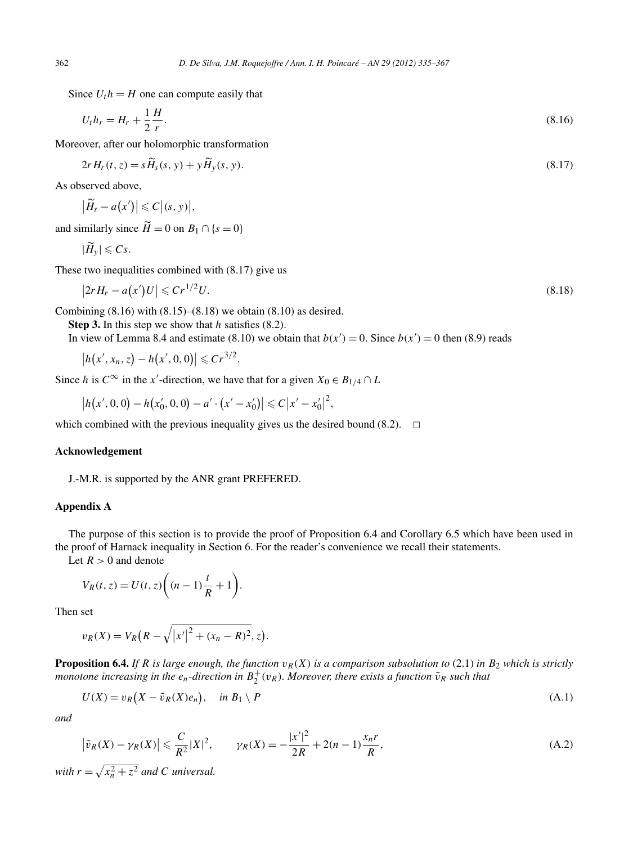Since  $U_t h = H$  one can compute easily that

$$
U_t h_r = H_r + \frac{1}{2} \frac{H}{r}.
$$
\n(8.16)\n  
\ncover, after our holomorphic transformation\n  
\n
$$
2r H_r(t, z) = s \widetilde{H}_s(s, y) + y \widetilde{H}_y(s, y).
$$
\n(8.17)

Moreover, after our holomorphic transformation

$$
2rH_r(t, z) = s\widetilde{H}_s(s, y) + y\widetilde{H}_v(s, y). \tag{8.17}
$$

As observed above,

 $2r H_r(t,$ <br>erved a<br> $\widetilde{H}_s - a$  $(x') \leq C$ *(s, y) ,*  $|H_s - a(x')|$ <br>milarly sine<br> $|\widetilde{H}_y| \leqslant Cs$ .

As observed above,<br>  $|\widetilde{H}_s - a(x')| \leq C |(s, y)|$ ,<br>
and similarly since  $\widetilde{H} = 0$  on  $B_1 \cap \{s = 0\}$ 

$$
|\widetilde{H}_v| \leqslant Cs.
$$

These two inequalities combined with (8.17) give us

$$
\left|2rH_r - a(x')U\right| \leqslant Cr^{1/2}U. \tag{8.18}
$$

Combining  $(8.16)$  with  $(8.15)$ – $(8.18)$  we obtain  $(8.10)$  as desired.

**Step 3.** In this step we show that *h* satisfies (8.2).

In view of Lemma 8.4 and estimate (8.10) we obtain that  $b(x') = 0$ . Since  $b(x') = 0$  then (8.9) reads

ining (8.16)<br> *x p* **3.** In this *x*<br>
view of Lem<br>  $|h(x', x_n, z)|$  $|h(x', x_n, z) - h(x', 0, 0)| \leq C r^{3/2}.$ 

Since *h* is  $C^{\infty}$  in the *x*'-direction, we have that for a given  $X_0 \in B_{1/4} \cap L$ 

 $\left| h(x',0,0) - h(x'_0,0,0) - a' \cdot (x'-x'_0) \right| \leqslant C |x'-x'_0|^2,$ 

which combined with the previous inequality gives us the desired bound  $(8.2)$ .  $\Box$ 

#### **Acknowledgement**

J.-M.R. is supported by the ANR grant PREFERED.

## **Appendix A**

The purpose of this section is to provide the proof of Proposition 6.4 and Corollary 6.5 which have been used in the proof of Harnack inequality in Section 6. For the reader's convenience we recall their statements. e purpose of this see<br>
oof of Harnack ineq<br>  $R > 0$  and denote<br>  $V_R(t, z) = U(t, z)$ 

Let  $R > 0$  and denote

$$
V_R(t, z) = U(t, z) \bigg( (n - 1) \frac{t}{R} + 1 \bigg).
$$

Then set

$$
V_R(t, z) = U(t, z) \Big( (n - 1) \frac{1}{R} + 1 \Big).
$$
  
set  

$$
v_R(X) = V_R \Big( R - \sqrt{|x'|^2 + (x_n - R)^2}, z \Big).
$$

**Proposition 6.4.** *If R* is large enough, the function  $v_R(X)$  is a comparison subsolution to (2.1) in  $B_2$  which is strictly *monotone increasing in the*  $e_n$ *-direction in*  $B_2^+(v_R)$ *. Moreover, there exists a function*  $\tilde{v}_R$  *such that* 

$$
U(X) = v_R(X - \tilde{v}_R(X)e_n), \quad \text{in } B_1 \setminus P
$$
\n(A.1)

*and*

$$
U(X) = v_R(X - \tilde{v}_R(X)e_n), \quad \text{in } B_1 \setminus P
$$
\nand

\n
$$
|\tilde{v}_R(X) - \gamma_R(X)| \leqslant \frac{C}{R^2}|X|^2, \qquad \gamma_R(X) = -\frac{|x'|^2}{2R} + 2(n-1)\frac{x_n r}{R},
$$
\n(A.2)

\nwith  $r = \sqrt{x_n^2 + z^2}$  and  $C$  universal.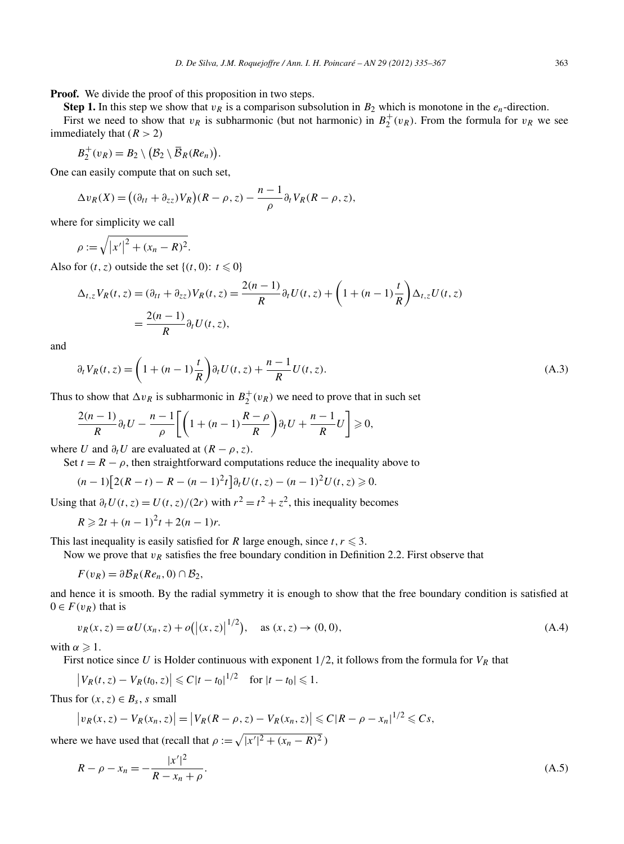**Proof.** We divide the proof of this proposition in two steps.

**Step 1.** In this step we show that  $v_R$  is a comparison subsolution in  $B_2$  which is monotone in the  $e_n$ -direction. First we need to show that  $v_R$  is subharmonic (but not harmonic) in  $B_2^+(v_R)$ . From the formula for  $v_R$  we see immediately that  $(R > 2)$ 

$$
B_2^+(v_R) = B_2 \setminus (\mathcal{B}_2 \setminus \overline{\mathcal{B}}_R(Re_n)).
$$

One can easily compute that on such set,

$$
B_2^+(v_R) = B_2 \setminus (B_2 \setminus \overline{B}_R(Re_n)).
$$
  
an easily compute that on such set,  

$$
\Delta v_R(X) = ((\partial_{tt} + \partial_{zz})V_R)(R - \rho, z) - \frac{n-1}{\rho} \partial_t V_R(R - \rho, z),
$$
  
for simplicity we call  

$$
\rho := \sqrt{|x'|^2 + (x_n - R)^2}.
$$

where for simplicity we call

Also for  $(t, z)$  outside the set  $\{(t, 0): t \le 0\}$ 

$$
\Delta_{t,z} V_R(t,z) = (\partial_{tt} + \partial_{zz}) V_R(t,z) = \frac{2(n-1)}{R} \partial_t U(t,z) + \left(1 + (n-1)\frac{t}{R}\right) \Delta_{t,z} U(t,z)
$$

$$
= \frac{2(n-1)}{R} \partial_t U(t,z),
$$

and

$$
\partial_t V_R(t, z) = \left(1 + (n - 1)\frac{t}{R}\right) \partial_t U(t, z) + \frac{n - 1}{R} U(t, z). \tag{A.3}
$$

Thus to show that  $\Delta v_R$  is subharmonic in  $B_2^+(v_R)$  we need to prove that in such set

$$
\frac{2(n-1)}{R}\partial_t U - \frac{n-1}{\rho}\bigg[\bigg(1+(n-1)\frac{R-\rho}{R}\bigg)\partial_t U + \frac{n-1}{R}U\bigg] \geq 0,
$$

where *U* and  $\partial_t U$  are evaluated at  $(R - \rho, z)$ .

Set  $t = R - \rho$ , then straightforward computations reduce the inequality above to

$$
(n-1)\big[2(R-t)-R-(n-1)^2t\big]\partial_tU(t,z)-(n-1)^2U(t,z)\geqslant 0.
$$

Using that  $\partial_t U(t, z) = U(t, z)/(2r)$  with  $r^2 = t^2 + z^2$ , this inequality becomes

$$
R \geq 2t + (n-1)^2t + 2(n-1)r.
$$

This last inequality is easily satisfied for *R* large enough, since  $t, r \leq 3$ .

Now we prove that  $v_R$  satisfies the free boundary condition in Definition 2.2. First observe that

$$
F(v_R) = \partial \mathcal{B}_R(Re_n, 0) \cap \mathcal{B}_2,
$$

and hence it is smooth. By the radial symmetry it is enough to show that the free boundary condition is satisfied at  $0 \in F(v_R)$  that is 2,<br>adial symn $|(x, z)|^{1/2})$ 

$$
v_R(x, z) = \alpha U(x_n, z) + o(|(x, z)|^{1/2}), \quad \text{as } (x, z) \to (0, 0),
$$
  
\n
$$
\alpha \ge 1.
$$
  
\n
$$
\alpha \ge 1.
$$
  
\n
$$
|V_R(t, z) - V_R(t_0, z)| \le C|t - t_0|^{1/2} \quad \text{for } |t - t_0| \le 1.
$$
\n
$$
(A.4)
$$

with  $\alpha \geqslant 1$ .

First notice since *U* is Holder continuous with exponent 1*/*2, it follows from the formula for *VR* that Ţ

$$
\begin{aligned} &|V_R(t, z) - V_R(t_0, z)| \le C|t - t_0|^{1/2} \quad \text{for } |t - t_0| \le 1. \\ &\text{for } (x, z) \in B_s, \, s \text{ small} \\ &|v_R(x, z) - V_R(x_n, z)| = |V_R(R - \rho, z) - V_R(x_n, z)| \, s. \end{aligned}
$$

Thus for  $(x, z) \in B_s$ , *s* small

Thus for 
$$
(x, z) \in B_s
$$
, *s* small  
\n
$$
|v_R(x, z) - V_R(x_n, z)| = |V_R(R - \rho, z) - V_R(x_n, z)| \le C|R - \rho - x_n|^{1/2} \le Cs,
$$
\nwhere we have used that (recall that  $\rho := \sqrt{|x'|^2 + (x_n - R)^2}$ )

$$
R - \rho - x_n = -\frac{|x'|^2}{R - x_n + \rho}.\tag{A.5}
$$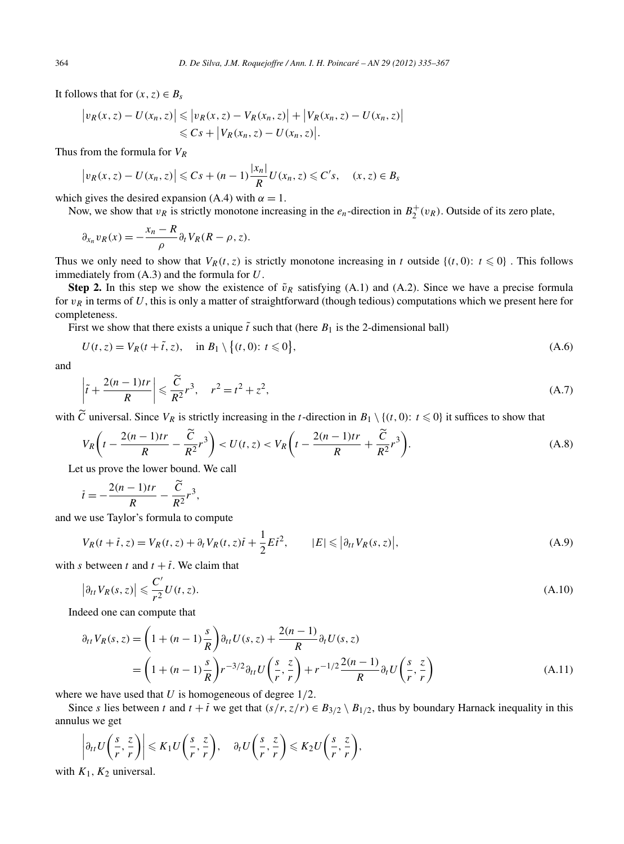It follows that for  $(x, z) \in B_s$ 

364 *D. De Silva, J.M. Roquejoffre / Ann. I. H. Poincaré – AN 29 (2012) 335–367*  
\nIt follows that for 
$$
(x, z) \in B_s
$$
  
\n
$$
|v_R(x, z) - U(x_n, z)| \le |v_R(x, z) - V_R(x_n, z)| + |V_R(x_n, z) - U(x_n, z)|
$$
\n
$$
\le Cs + |V_R(x_n, z) - U(x_n, z)|.
$$
\nThus from the formula for  $V_R$   
\n
$$
|v_R(x, z) - U(x_n, z)| \le Cs + (n - 1) \frac{|x_n|}{R} U(x_n, z) \le C's, \quad (x, z) \in B_s
$$

Thus from the formula for *VR*

$$
\left|v_R(x,z)-U(x_n,z)\right|\leqslant Cs+(n-1)\frac{|x_n|}{R}U(x_n,z)\leqslant C's,\quad (x,z)\in B_s
$$

which gives the desired expansion (A.4) with  $\alpha = 1$ .

Now, we show that  $v_R$  is strictly monotone increasing in the  $e_n$ -direction in  $B_2^+(v_R)$ . Outside of its zero plate,

$$
\partial_{x_n} v_R(x) = -\frac{x_n - R}{\rho} \partial_t V_R(R - \rho, z).
$$

Thus we only need to show that  $V_R(t, z)$  is strictly monotone increasing in *t* outside  $\{(t, 0): t \le 0\}$ . This follows immediately from (A.3) and the formula for *U*.

**Step 2.** In this step we show the existence of  $\tilde{v}_R$  satisfying (A.1) and (A.2). Since we have a precise formula for  $v_R$  in terms of U, this is only a matter of straightforward (though tedious) computations which we present here for completeness.

First we show that there exists a unique  $\tilde{t}$  such that (here  $B_1$  is the 2-dimensional ball)

$$
U(t, z) = V_R(t + \tilde{t}, z), \quad \text{in } B_1 \setminus \{(t, 0): t \le 0\},
$$
 (A.6)

and

$$
\left|\tilde{t} + \frac{2(n-1)tr}{R}\right| \leq \frac{\tilde{C}}{R^2}r^3, \quad r^2 = t^2 + z^2,
$$
\n(A.7)

with  $\tilde{C}$  universal. Since  $V_R$  is strictly increasing in the *t*-direction in  $B_1 \setminus \{(t, 0): t \leq 0\}$  it suffices to show that

$$
V_R\left(t - \frac{2(n-1)tr}{R} - \frac{\tilde{C}}{R^2}r^3\right) < U(t, z) < V_R\left(t - \frac{2(n-1)tr}{R} + \frac{\tilde{C}}{R^2}r^3\right). \tag{A.8}
$$

Let us prove the lower bound. We call

$$
\bar{t} = -\frac{2(n-1)tr}{R} - \frac{\tilde{C}}{R^2}r^3,
$$

and we use Taylor's formula to compute

$$
\bar{t} = -\frac{2(n-1)t}{R} - \frac{C}{R^2}r^3,
$$
  
e use Taylor's formula to compute  

$$
V_R(t + t, z) = V_R(t, z) + \partial_t V_R(t, z)\bar{t} + \frac{1}{2}E\bar{t}^2, \qquad |E| \le |\partial_{tt} V_R(s, z)|,
$$
  
between *t* and *t* + *t*. We claim that  

$$
|\partial_{tt} V_R(s, z)| \le \frac{C'}{r^2} U(t, z).
$$
 (A.10)

with *s* between *t* and  $t + t$ . We claim that

$$
\left|\partial_{tt}V_R(s,z)\right| \leqslant \frac{C'}{r^2}U(t,z). \tag{A.10}
$$

Indeed one can compute that

$$
\partial_{tt} V_R(s, z) = \left(1 + (n-1)\frac{s}{R}\right) \partial_{tt} U(s, z) + \frac{2(n-1)}{R} \partial_t U(s, z)
$$
  
= 
$$
\left(1 + (n-1)\frac{s}{R}\right) r^{-3/2} \partial_{tt} U\left(\frac{s}{r}, \frac{z}{r}\right) + r^{-1/2} \frac{2(n-1)}{R} \partial_t U\left(\frac{s}{r}, \frac{z}{r}\right)
$$
(A.11)

where we have used that *U* is homogeneous of degree 1*/*2.

Since *s* lies between *t* and  $t + \overline{t}$  we get that  $(s/r, z/r) \in B_{3/2} \setminus B_{1/2}$ , thus by boundary Harnack inequality in this annulus we get

$$
\left|\partial_{tt}U\left(\frac{s}{r},\frac{z}{r}\right)\right|\leqslant K_1U\left(\frac{s}{r},\frac{z}{r}\right),\quad \partial_tU\left(\frac{s}{r},\frac{z}{r}\right)\leqslant K_2U\left(\frac{s}{r},\frac{z}{r}\right),
$$
  
 $K_1,K_2$  universal

with  $K_1, K_2$  universal.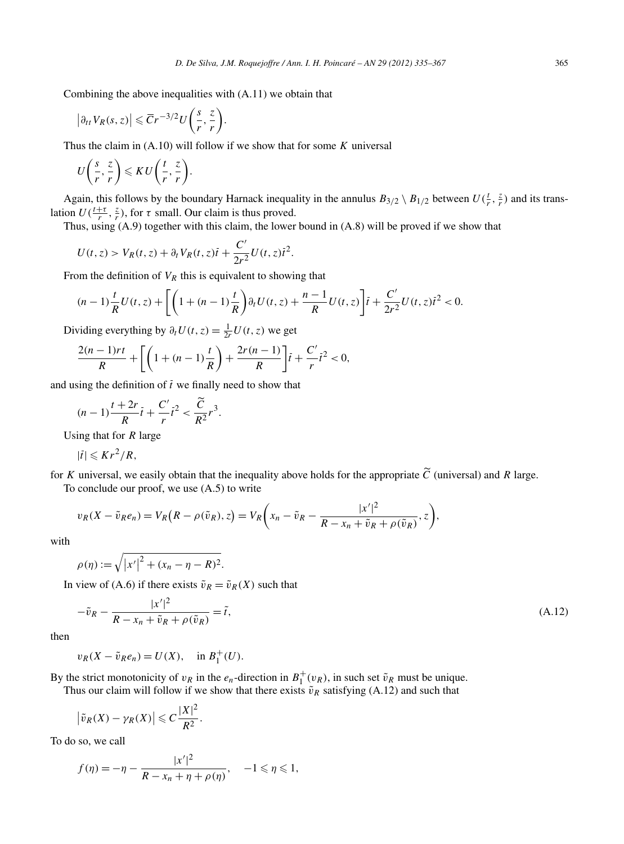Combining the above inequalities with (A.11) we obtain that

minimize the above inequalities with  
\n
$$
|\partial_{tt} V_R(s, z)| \le \overline{C} r^{-3/2} U\left(\frac{s}{r}, \frac{z}{r}\right)
$$
.  
\nus the claim in (A.10) will follow  
\n $U\left(\frac{s}{r}, \frac{z}{r}\right) \le K U\left(\frac{t}{r}, \frac{z}{r}\right)$ .

Thus the claim in (A.10) will follow if we show that for some *K* universal

$$
U\left(\frac{s}{r},\frac{z}{r}\right) \leqslant K U\left(\frac{t}{r},\frac{z}{r}\right).
$$

Again, this follows by the boundary Harnack inequality in the annulus  $B_{3/2} \setminus B_{1/2}$  between  $U(\frac{t}{r}, \frac{z}{r})$  and its translation  $U(\frac{t+\tau}{r}, \frac{z}{r})$ , for  $\tau$  small. Our claim is thus proved.

Thus, using (A.9) together with this claim, the lower bound in (A.8) will be proved if we show that

$$
U(t,z) > V_R(t,z) + \partial_t V_R(t,z)\overline{t} + \frac{C'}{2r^2}U(t,z)\overline{t}^2.
$$

From the definition of  $V_R$  this is equivalent to showing that

$$
U(t, z) > V_R(t, z) + \partial_t V_R(t, z)\overline{t} + \frac{C'}{2r^2} U(t, z)\overline{t}^2.
$$
  
om the definition of  $V_R$  this is equivalent to showing that  

$$
(n-1)\frac{t}{R}U(t, z) + \left[ \left(1 + (n-1)\frac{t}{R}\right) \partial_t U(t, z) + \frac{n-1}{R} U(t, z) \right] \overline{t} + \frac{C'}{2r^2} U(t, z)\overline{t}^2 < 0.
$$

Dividing everything by  $\partial_t U(t, z) = \frac{1}{2r} U(t, z)$  we get

$$
\frac{2(n-1)rt}{R} + \left[ \left( 1 + (n-1)\frac{t}{R} \right) + \frac{2r(n-1)}{R} \right] \bar{t} + \frac{C'}{r} \bar{t}^2 < 0,
$$

and using the definition of *t* we finally need to show that

$$
(n-1)\frac{t+2r}{R}\bar{t} + \frac{C'}{r}\bar{t}^2 < \frac{\widetilde{C}}{R^2}r^3.
$$

Using that for *R* large

$$
|t|\leqslant Kr^2/R,
$$

for *K* universal, we easily obtain that the inequality above holds for the appropriate *C* (universal) and *R* large. To conclude our proof, we use (A.5) to write obtain that the inequality above holds for the appropriate  $\tilde{C}$  (we use (A.5) to write<br>  $(R - \rho(\tilde{v}_R), z) = V_R \left(x_n - \tilde{v}_R - \frac{|x'|^2}{R - x_n + \tilde{v}_R + \rho(\tilde{v}_R) \sqrt{n}} \right)$ 

$$
v_R(X - \tilde{v}_R e_n) = V_R(R - \rho(\tilde{v}_R), z) = V_R\left(x_n - \tilde{v}_R - \frac{|x'|^2}{R - x_n + \tilde{v}_R + \rho(\tilde{v}_R)}, z\right),
$$
  

$$
\rho(\eta) := \sqrt{|x'|^2 + (x_n - \eta - R)^2}.
$$

with

$$
\rho(\eta) := \sqrt{|x'|^2 + (x_n - \eta - R)^2}.
$$

In view of (A.6) if there exists  $\tilde{v}_R = \tilde{v}_R(X)$  such that

$$
-\tilde{v}_R - \frac{|x'|^2}{R - x_n + \tilde{v}_R + \rho(\tilde{v}_R)} = \tilde{t},\tag{A.12}
$$

then

$$
v_R(X - \tilde{v}_R e_n) = U(X), \quad \text{in } B_1^+(U).
$$

By the strict monotonicity of *v<sub>R</sub>* in the *e<sub>n</sub>*-direction in  $B_1^+(v_R)$ , in such set  $\tilde{v}_R$  must be unique.<br>Thus our claim will follow if we show that there exists  $\tilde{v}_R$  satisfying (A.12) and such that  $|\tilde{v}_R(X$ 

Thus our claim will follow if we show that there exists  $\tilde{v}_R$  satisfying (A.12) and such that

$$
\left|\tilde{v}_R(X) - \gamma_R(X)\right| \leqslant C \frac{|X|^2}{R^2}.
$$

To do so, we call

$$
f(\eta) = -\eta - \frac{|x'|^2}{R - x_n + \eta + \rho(\eta)}, \quad -1 \le \eta \le 1,
$$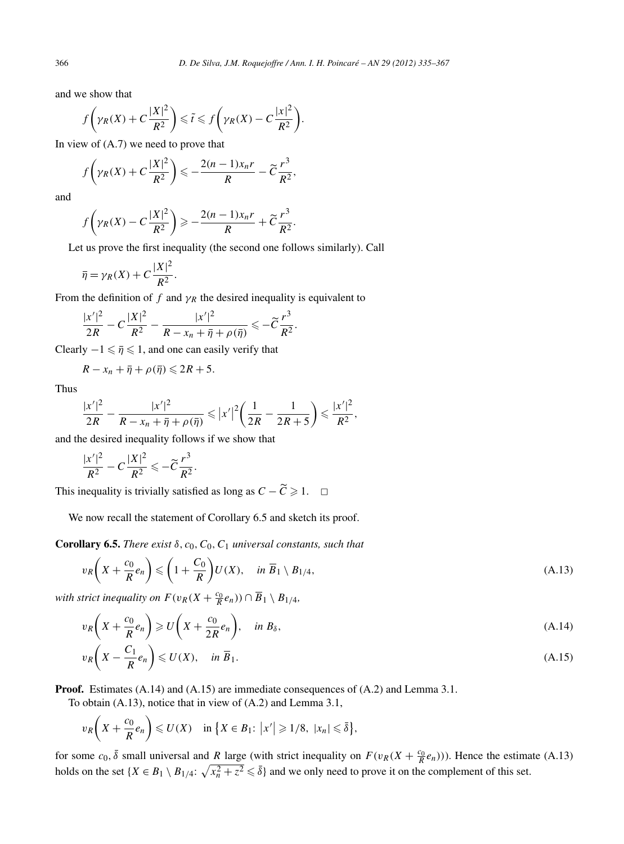and we show that

$$
f\left(\gamma_R(X) + C\frac{|X|^2}{R^2}\right) \leq \tilde{t} \leq f\left(\gamma_R(X) - C\frac{|x|^2}{R^2}\right).
$$

In view of (A.7) we need to prove that

$$
f\left(\gamma_R(X) + C\frac{|X|^2}{R^2}\right) \leqslant -\frac{2(n-1)x_n r}{R} - \widetilde{C}\frac{r^3}{R^2},
$$

and

$$
f\left(\gamma_R(X) - C\frac{|X|^2}{R^2}\right) \geqslant -\frac{2(n-1)x_n r}{R} + \widetilde{C}\frac{r^3}{R^2}.
$$

Let us prove the first inequality (the second one follows similarly). Call

$$
\bar{\eta} = \gamma_R(X) + C \frac{|X|^2}{R^2}.
$$

From the definition of  $f$  and  $\gamma_R$  the desired inequality is equivalent to

$$
\frac{|x'|^2}{2R} - C\frac{|X|^2}{R^2} - \frac{|x'|^2}{R - x_n + \bar{\eta} + \rho(\bar{\eta})} \leqslant -\widetilde{C}\frac{r^3}{R^2}.
$$

Clearly  $-1 \leq \overline{\eta} \leq 1$ , and one can easily verify that

$$
R-x_n+\overline{\eta}+\rho(\overline{\eta})\leqslant 2R+5.
$$

Thus

$$
R - x_n + \bar{\eta} + \rho(\bar{\eta}) \le 2R + 5.
$$
  

$$
\frac{|x'|^2}{2R} - \frac{|x'|^2}{R - x_n + \bar{\eta} + \rho(\bar{\eta})} \le |x'|^2 \left(\frac{1}{2R} - \frac{1}{2R + 5}\right) \le \frac{|x'|^2}{R^2},
$$

and the desired inequality follows if we show that

$$
\frac{|x'|^2}{R^2}-C\frac{|X|^2}{R^2}\leqslant-\widetilde{C}\frac{r^3}{R^2}.
$$

This inequality is trivially satisfied as long as  $C - \tilde{C} \geq 1$ .  $\Box$ 

We now recall the statement of Corollary 6.5 and sketch its proof.

**Corollary 6.5.** *There exist*  $\delta$ ,  $c_0$ ,  $C_0$ ,  $C_1$  *universal constants, such that* 

$$
v_R\left(X + \frac{c_0}{R}e_n\right) \leqslant \left(1 + \frac{C_0}{R}\right)U(X), \quad \text{in } \overline{B}_1 \setminus B_{1/4},\tag{A.13}
$$

*with strict inequality on*  $F(v_R(X + \frac{c_0}{R}e_n)) \cap \overline{B}_1 \setminus B_{1/4}$ ,

$$
v_R\left(X + \frac{c_0}{R}e_n\right) \geqslant U\left(X + \frac{c_0}{2R}e_n\right), \quad \text{in } B_\delta,
$$
\n(A.14)

$$
v_R\left(X - \frac{C_1}{R}e_n\right) \leqslant U(X), \quad \text{in } \overline{B}_1. \tag{A.15}
$$

**Proof.** Estimates (A.14) and (A.15) are immediate consequences of (A.2) and Lemma 3.1.

To obtain (A.13), notice that in view of (A.2) and Lemma 3.1,

Estimates (A.14) and (A.15) are immediate consequences of  
obtain (A.13), notice that in view of (A.2) and Lemma 3.1,  

$$
v_R\left(X + \frac{c_0}{R}e_n\right) \le U(X)
$$
 in  $\{X \in B_1: |x'| \ge 1/8, |x_n| \le \overline{\delta}\},\$ 

for some  $c_0$ ,  $\overline{\delta}$  small universal and *R* large (with strict inequality on  $F(v_R(X + \frac{c_0}{R}e_n))$ ). Hence the estimate (A.13) holds on the set  $\{X \in B_1 \setminus B_{1/4}: \sqrt{x_n^2 + z^2} \leq \overline{\delta}\}$  and we only need to prove it on the complement of this set.